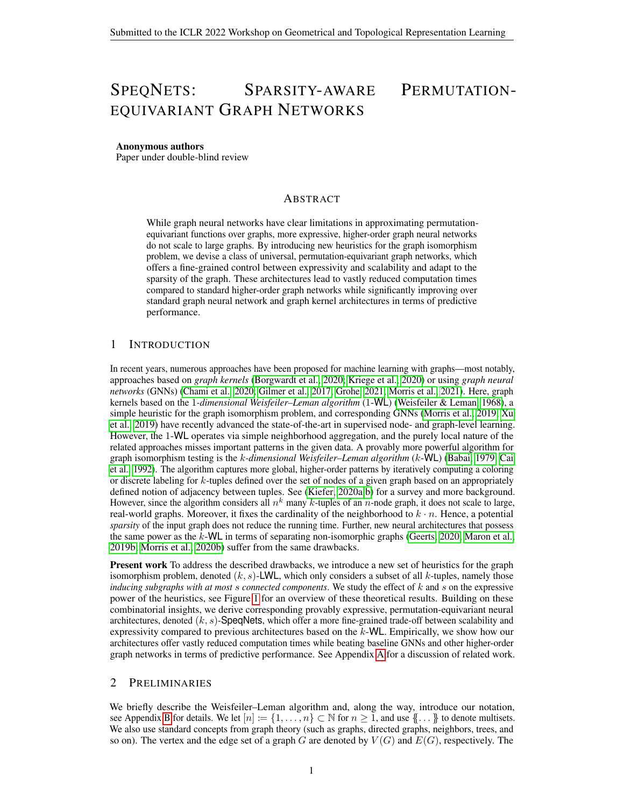# <span id="page-0-0"></span>SPEQNETS: SPARSITY-AWARE PERMUTATION-EQUIVARIANT GRAPH NETWORKS

#### Anonymous authors

Paper under double-blind review

### ABSTRACT

While graph neural networks have clear limitations in approximating permutationequivariant functions over graphs, more expressive, higher-order graph neural networks do not scale to large graphs. By introducing new heuristics for the graph isomorphism problem, we devise a class of universal, permutation-equivariant graph networks, which offers a fine-grained control between expressivity and scalability and adapt to the sparsity of the graph. These architectures lead to vastly reduced computation times compared to standard higher-order graph networks while significantly improving over standard graph neural network and graph kernel architectures in terms of predictive performance.

### 1 INTRODUCTION

In recent years, numerous approaches have been proposed for machine learning with graphs—most notably, approaches based on *graph kernels* [\(Borgwardt et al., 2020;](#page-5-0) [Kriege et al., 2020\)](#page-7-0) or using *graph neural networks* (GNNs) [\(Chami et al., 2020;](#page-5-1) [Gilmer et al., 2017;](#page-6-0) [Grohe, 2021;](#page-6-1) [Morris et al., 2021\)](#page-8-0). Here, graph kernels based on the 1*-dimensional Weisfeiler–Leman algorithm* (1-WL) [\(Weisfeiler & Leman, 1968\)](#page-9-0), a simple heuristic for the graph isomorphism problem, and corresponding GNNs [\(Morris et al., 2019;](#page-8-1) [Xu](#page-9-1) [et al., 2019\)](#page-9-1) have recently advanced the state-of-the-art in supervised node- and graph-level learning. However, the 1-WL operates via simple neighborhood aggregation, and the purely local nature of the related approaches misses important patterns in the given data. A provably more powerful algorithm for graph isomorphism testing is the k*-dimensional Weisfeiler–Leman algorithm* (k-WL) [\(Babai, 1979;](#page-4-0) [Cai](#page-5-2) [et al., 1992\)](#page-5-2). The algorithm captures more global, higher-order patterns by iteratively computing a coloring or discrete labeling for k-tuples defined over the set of nodes of a given graph based on an appropriately defined notion of adjacency between tuples. See [\(Kiefer, 2020a;](#page-6-2)[b\)](#page-6-3) for a survey and more background. However, since the algorithm considers all  $n^k$  many k-tuples of an n-node graph, it does not scale to large, real-world graphs. Moreover, it fixes the cardinality of the neighborhood to  $k \cdot n$ . Hence, a potential *sparsity* of the input graph does not reduce the running time. Further, new neural architectures that possess the same power as the  $k$ -WL in terms of separating non-isomorphic graphs [\(Geerts, 2020;](#page-6-4) [Maron et al.,](#page-7-1) [2019b;](#page-7-1) [Morris et al., 2020b\)](#page-8-2) suffer from the same drawbacks.

Present work To address the described drawbacks, we introduce a new set of heuristics for the graph isomorphism problem, denoted  $(k, s)$ -LWL, which only considers a subset of all k-tuples, namely those *inducing subgraphs with at most* s *connected components*. We study the effect of k and s on the expressive power of the heuristics, see Figure [1](#page-11-0) for an overview of these theoretical results. Building on these combinatorial insights, we derive corresponding provably expressive, permutation-equivariant neural architectures, denoted  $(k, s)$ -SpeqNets, which offer a more fine-grained trade-off between scalability and expressivity compared to previous architectures based on the  $k$ -WL. Empirically, we show how our architectures offer vastly reduced computation times while beating baseline GNNs and other higher-order graph networks in terms of predictive performance. See Appendix [A](#page-10-0) for a discussion of related work.

### 2 PRELIMINARIES

We briefly describe the Weisfeiler–Leman algorithm and, along the way, introduce our notation, see Appendix [B](#page-11-1) for details. We let  $[n] := \{1, \ldots, n\} \subset \mathbb{N}$  for  $n \geq 1$ , and use  $\{\! \ldots \! \}$  to denote multisets. We also use standard concepts from graph theory (such as graphs, directed graphs, neighbors, trees, and so on). The vertex and the edge set of a graph G are denoted by  $V(G)$  and  $E(G)$ , respectively. The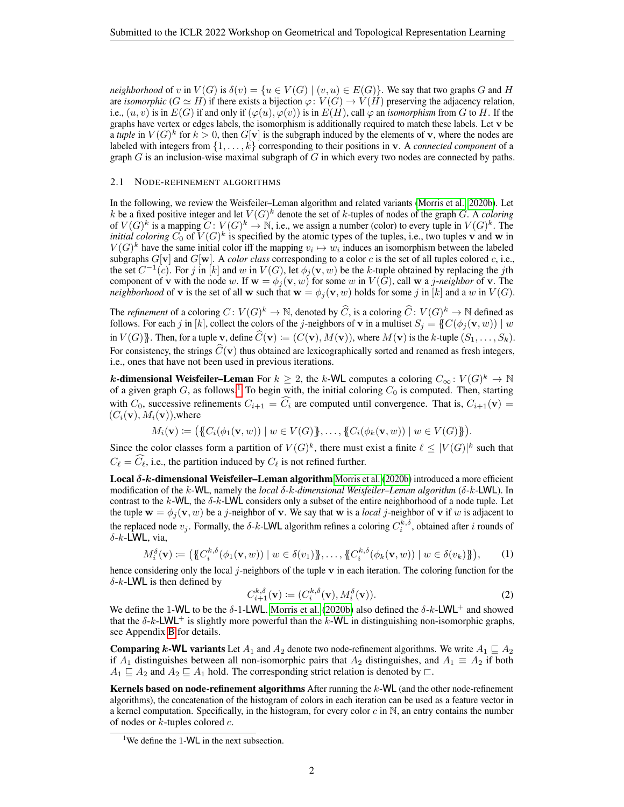*neighborhood* of v in  $V(G)$  is  $\delta(v) = \{u \in V(G) \mid (v, u) \in E(G)\}$ . We say that two graphs G and H are *isomorphic* ( $G \simeq H$ ) if there exists a bijection  $\varphi: V(G) \to V(H)$  preserving the adjacency relation, i.e.,  $(u, v)$  is in  $E(G)$  if and only if  $(\varphi(u), \varphi(v))$  is in  $E(H)$ , call  $\varphi$  an *isomorphism* from G to H. If the graphs have vertex or edges labels, the isomorphism is additionally required to match these labels. Let  $\bf{v}$  be a *tuple* in  $V(G)^k$  for  $k > 0$ , then  $G[v]$  is the subgraph induced by the elements of v, where the nodes are labeled with integers from  $\{1, \ldots, k\}$  corresponding to their positions in **v**. A *connected component* of a graph  $G$  is an inclusion-wise maximal subgraph of  $G$  in which every two nodes are connected by paths.

#### <span id="page-1-0"></span>2.1 NODE-REFINEMENT ALGORITHMS

In the following, we review the Weisfeiler–Leman algorithm and related variants [\(Morris et al., 2020b\)](#page-8-2). Let k be a fixed positive integer and let  $V(G)^k$  denote the set of k-tuples of nodes of the graph G. A *coloring* of  $V(G)^k$  is a mapping  $C: V(G)^k \to \mathbb{N}$ , i.e., we assign a number (color) to every tuple in  $V(G)^k$ . The *initial coloring*  $C_0$  of  $V(G)^k$  is specified by the atomic types of the tuples, i.e., two tuples v and w in  $V(G)^k$  have the same initial color iff the mapping  $v_i \mapsto w_i$  induces an isomorphism between the labeled subgraphs  $G[\mathbf{v}]$  and  $G[\mathbf{w}]$ . A *color class* corresponding to a color c is the set of all tuples colored c, i.e., the set  $C^{-1}(c)$ . For j in [k] and w in  $V(G)$ , let  $\phi_j(\mathbf{v}, w)$  be the k-tuple obtained by replacing the jth component of **v** with the node w. If  $\mathbf{w} = \phi_i(\mathbf{v}, w)$  for some w in  $V(G)$ , call w a j-neighbor of **v**. The *neighborhood* of **v** is the set of all **w** such that  $\mathbf{w} = \phi_i(\mathbf{v}, w)$  holds for some j in [k] and a w in  $V(G)$ .

The *refinement* of a coloring  $C: V(G)^k \to \mathbb{N}$ , denoted by  $\widehat{C}$ , is a coloring  $\widehat{C}: V(G)^k \to \mathbb{N}$  defined as follows. For each j in [k], collect the colors of the j-neighbors of v in a multiset  $S_j = \{C(\phi_j(v, w)) \mid w\}$ in  $V(G)$ }}. Then, for a tuple v, define  $\widehat{C}(\mathbf{v}) \coloneqq (C(\mathbf{v}), M(\mathbf{v}))$ , where  $M(\mathbf{v})$  is the k-tuple  $(S_1, \ldots, S_k)$ . For consistency, the strings  $\hat{C}(v)$  thus obtained are lexicographically sorted and renamed as fresh integers, i.e., ones that have not been used in previous iterations.

**k-dimensional Weisfeiler–Leman** For  $k \geq 2$ , the k-WL computes a coloring  $C_{\infty} \colon V(G)^{k} \to \mathbb{N}$ of a given graph  $G$ , as follows.<sup>[1](#page-0-0)</sup> To begin with, the initial coloring  $C_0$  is computed. Then, starting with  $C_0$ , successive refinements  $C_{i+1} = \widehat{C_i}$  are computed until convergence. That is,  $C_{i+1}(\mathbf{v}) =$  $(C_i(\mathbf{v}), M_i(\mathbf{v}))$ , where

$$
M_i(\mathbf{v}) := (\{C_i(\phi_1(\mathbf{v}, w)) \mid w \in V(G)\}, \ldots, \{C_i(\phi_k(\mathbf{v}, w)) \mid w \in V(G)\}\).
$$

Since the color classes form a partition of  $V(G)^k$ , there must exist a finite  $\ell \leq |V(G)|^k$  such that  $C_\ell = \widehat{C_\ell}$ , i.e., the partition induced by  $C_\ell$  is not refined further.

**Local**  $\delta$ **-k-dimensional Weisfeiler–Leman algorithm** [Morris et al.](#page-8-2) [\(2020b\)](#page-8-2) introduced a more efficient modification of the k-WL, namely the *local* δ*-*k*-dimensional Weisfeiler–Leman algorithm* (δ-k-LWL). In contrast to the  $k$ -WL, the  $\delta$ -k-LWL considers only a subset of the entire neighborhood of a node tuple. Let the tuple  $\mathbf{w} = \phi_i(\mathbf{v}, w)$  be a *j*-neighbor of **v**. We say that **w** is a *local j*-neighbor of **v** if w is adjacent to the replaced node  $v_j$ . Formally, the  $\delta$ -k-LWL algorithm refines a coloring  $C_i^{k,\delta}$ , obtained after i rounds of δ-k-LWL, via,

<span id="page-1-1"></span>
$$
M_i^{\delta}(\mathbf{v}) \coloneqq \big(\big\{C_i^{k,\delta}(\phi_1(\mathbf{v},w)) \mid w \in \delta(v_1)\big\},\ldots,\big\{C_i^{k,\delta}(\phi_k(\mathbf{v},w)) \mid w \in \delta(v_k)\big\}\big),\qquad(1)
$$

hence considering only the local j-neighbors of the tuple  $\bf{v}$  in each iteration. The coloring function for the  $\delta$ -k-LWL is then defined by

$$
C_{i+1}^{k,\delta}(\mathbf{v}) \coloneqq (C_i^{k,\delta}(\mathbf{v}), M_i^{\delta}(\mathbf{v})). \tag{2}
$$

We define the 1-WL to be the  $\delta$ -1-LWL. [Morris et al.](#page-8-2) [\(2020b\)](#page-8-2) also defined the  $\delta$ -k-LWL<sup>+</sup> and showed that the  $\delta$ -k-LWL<sup>+</sup> is slightly more powerful than the k-WL in distinguishing non-isomorphic graphs, see Appendix [B](#page-11-1) for details.

**Comparing k-WL variants** Let  $A_1$  and  $A_2$  denote two node-refinement algorithms. We write  $A_1 \sqsubseteq A_2$ if  $A_1$  distinguishes between all non-isomorphic pairs that  $A_2$  distinguishes, and  $A_1 \equiv A_2$  if both  $A_1 \sqsubseteq A_2$  and  $A_2 \sqsubseteq A_1$  hold. The corresponding strict relation is denoted by  $\sqsubset$ .

Kernels based on node-refinement algorithms After running the k-WL (and the other node-refinement algorithms), the concatenation of the histogram of colors in each iteration can be used as a feature vector in a kernel computation. Specifically, in the histogram, for every color  $c$  in  $\mathbb N$ , an entry contains the number of nodes or  $k$ -tuples colored  $c$ .

<sup>&</sup>lt;sup>1</sup>We define the 1-WL in the next subsection.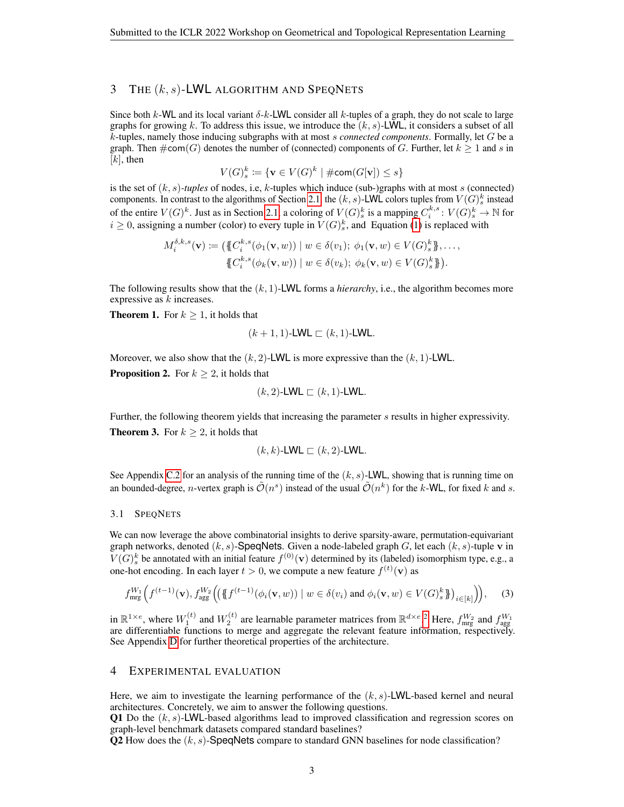# 3 THE  $(k, s)$ -LWL ALGORITHM AND SPEQNETS

Since both k-WL and its local variant  $\delta$ -k-LWL consider all k-tuples of a graph, they do not scale to large graphs for growing k. To address this issue, we introduce the  $(k, s)$ -LWL, it considers a subset of all k-tuples, namely those inducing subgraphs with at most s *connected components*. Formally, let G be a graph. Then  $\#\text{com}(G)$  denotes the number of (connected) components of G. Further, let  $k \geq 1$  and s in  $[k]$ , then

$$
V(G)_s^k \coloneqq \{ \mathbf{v} \in V(G)^k \mid \# \mathsf{com}(G[\mathbf{v}]) \le s \}
$$

is the set of  $(k, s)$ *-tuples* of nodes, i.e, k-tuples which induce (sub-)graphs with at most s (connected) components. In contrast to the algorithms of Section [2.1,](#page-1-0) the  $(k, s)$ -LWL colors tuples from  $V(G)_{s}^{k}$  instead of the entire  $V(G)^k$ . Just as in Section [2.1,](#page-1-0) a coloring of  $V(G)^k_s$  is a mapping  $C_i^{k,s} : V(G)^k_s \to \mathbb{N}$  for  $i \geq 0$ , assigning a number (color) to every tuple in  $V(G)_{s}^{k}$ , and Equation [\(1\)](#page-1-1) is replaced with

$$
M_i^{\delta,k,s}(\mathbf{v}) \coloneqq \left( \{\!\!\{ C_i^{k,s}(\phi_1(\mathbf{v},w)) \mid w \in \delta(v_1); \phi_1(\mathbf{v},w) \in V(G)_s^k \}\!\!\}, \ldots, \{\!\!\{ C_i^{k,s}(\phi_k(\mathbf{v},w)) \mid w \in \delta(v_k); \phi_k(\mathbf{v},w) \in V(G)_s^k \}\!\!\}.
$$

The following results show that the (k, 1)-LWL forms a *hierarchy*, i.e., the algorithm becomes more expressive as  $k$  increases.

**Theorem 1.** For  $k \geq 1$ , it holds that

$$
(k+1,1)\text{-LWL} \sqsubset (k,1)\text{-LWL}.
$$

Moreover, we also show that the  $(k, 2)$ -LWL is more expressive than the  $(k, 1)$ -LWL.

**Proposition 2.** For  $k \geq 2$ , it holds that

$$
(k,2)\text{-LWL} \sqsubset (k,1)\text{-LWL}.
$$

Further, the following theorem yields that increasing the parameter s results in higher expressivity. **Theorem 3.** For  $k \geq 2$ , it holds that

<span id="page-2-0"></span>
$$
(k,k)\text{-}\mathsf{LWL} \sqsubset (k,2)\text{-}\mathsf{LWL}.
$$

See Appendix [C.2](#page-19-0) for an analysis of the running time of the  $(k, s)$ -LWL, showing that is running time on an bounded-degree, *n*-vertex graph is  $\tilde{O}(n^s)$  instead of the usual  $\tilde{O}(n^k)$  for the *k*-WL, for fixed *k* and *s*.

### 3.1 SPEQNETS

We can now leverage the above combinatorial insights to derive sparsity-aware, permutation-equivariant graph networks, denoted  $(k, s)$ -SpeqNets. Given a node-labeled graph G, let each  $(k, s)$ -tuple v in  $V(G)_s^k$  be annotated with an initial feature  $f^{(0)}(\mathbf{v})$  determined by its (labeled) isomorphism type, e.g., a one-hot encoding. In each layer  $t > 0$ , we compute a new feature  $f^{(t)}(\mathbf{v})$  as

$$
f_{\text{mrg}}^{W_1}\Big(f^{(t-1)}(\mathbf{v}), f_{\text{agg}}^{W_2}\Big(\big(\{\!\!\{\,f^{(t-1)}(\phi_i(\mathbf{v},w))\mid w\in\delta(v_i)\text{ and }\phi_i(\mathbf{v},w)\in V(G)_s^k\}\!\!\}\big)_{i\in[k]}\Big)\Big),\tag{3}
$$

in  $\mathbb{R}^{1\times e}$ , where  $W_1^{(t)}$  and  $W_2^{(t)}$  $W_2^{(t)}$  $W_2^{(t)}$  are learnable parameter matrices from  $\mathbb{R}^{d\times e}$ .<sup>2</sup> Here,  $f_{\text{mrg}}^{W_2}$  and  $f_{\text{agg}}^{W_1}$ are differentiable functions to merge and aggregate the relevant feature information, respectively. See Appendix [D](#page-20-0) for further theoretical properties of the architecture.

### 4 EXPERIMENTAL EVALUATION

Here, we aim to investigate the learning performance of the  $(k, s)$ -LWL-based kernel and neural architectures. Concretely, we aim to answer the following questions.

Q1 Do the  $(k, s)$ -LWL-based algorithms lead to improved classification and regression scores on graph-level benchmark datasets compared standard baselines?

Q2 How does the  $(k, s)$ -SpeqNets compare to standard GNN baselines for node classification?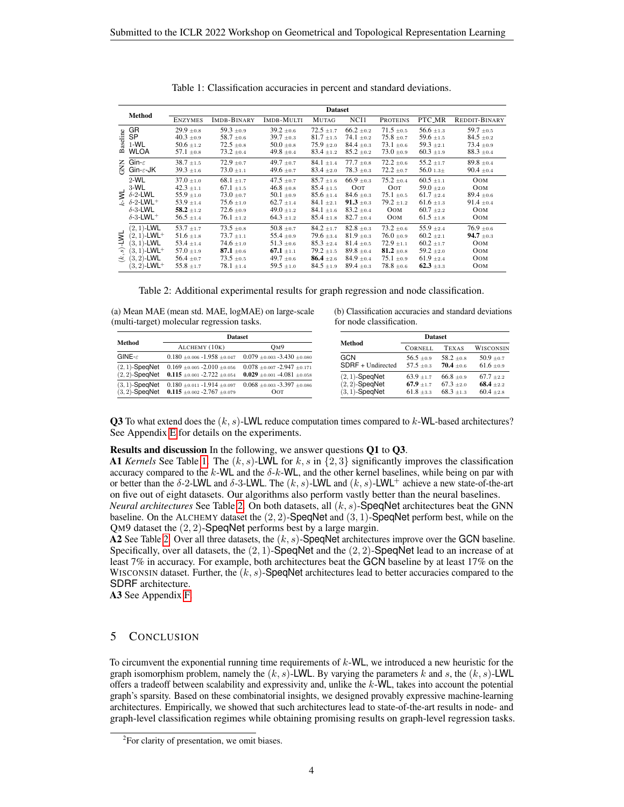<span id="page-3-0"></span>

|                         |                                             | <b>Dataset</b>                   |                                  |                                  |                                  |                                  |                                  |                                  |                                  |
|-------------------------|---------------------------------------------|----------------------------------|----------------------------------|----------------------------------|----------------------------------|----------------------------------|----------------------------------|----------------------------------|----------------------------------|
|                         | <b>Method</b>                               | <b>ENZYMES</b>                   | IMDB-BINARY                      | IMDB-MULTI                       | <b>MUTAG</b>                     | NCI1                             | <b>PROTEINS</b>                  | PTC_MR                           | REDDIT-BINARY                    |
|                         | GR                                          | $29.9 \pm 0.8$                   | $59.3 \pm 0.9$                   | $39.2 \pm 0.6$                   | $72.5 \pm 1.7$                   | $66.2 \pm 0.2$                   | $71.5 \pm 0.5$                   | $56.6 \pm 1.3$                   | 59.7 $\pm$ 0.5                   |
| aseline                 | <b>SP</b><br>$1-WL$                         | $40.3 \pm 0.9$<br>$50.6 \pm 1.2$ | $58.7 \pm 0.6$<br>$72.5 \pm 0.8$ | $39.7 \pm 0.3$<br>$50.0 \pm 0.8$ | $81.7 \pm 1.5$<br>$75.9 \pm 2.0$ | 74.1 $\pm$ 0.2<br>$84.4 \pm 0.3$ | $75.8 \pm 0.7$<br>$73.1 \pm 0.6$ | $59.6 \pm 1.5$<br>$59.3 \pm 2.1$ | $84.5 \pm 0.2$<br>$73.4 \pm 0.9$ |
| m                       | <b>WLOA</b>                                 | $57.1 \pm 0.8$                   | $73.2 \pm 0.4$                   | 49.8 $\pm$ 0.4                   | $83.4 \pm 1.2$                   | $85.2 \pm 0.2$                   | $73.0 \pm 0.9$                   | $60.3 \pm 1.9$                   | $88.3 \pm 0.4$                   |
| m<br>S                  | Gin- $\varepsilon$                          | $38.7 \pm 1.5$                   | $72.9 \pm 0.7$                   | 49.7 $\pm$ 0.7                   | $84.1 \pm 1.4$                   | $77.7 \pm 0.8$                   | $72.2 \pm 0.6$                   | $55.2 + 1.7$                     | $89.8 \pm 0.4$                   |
|                         | $G$ in- $\varepsilon$ -JK                   | $39.3 \pm 1.6$                   | $73.0 \pm 1.1$                   | 49.6 $\pm$ 0.7                   | $83.4 \pm 2.0$                   | $78.3 \pm 0.3$                   | $72.2 \pm 0.7$                   | 56.0 $1.3\pm$                    | $90.4 \pm 0.4$                   |
|                         | $2-WL$                                      | $37.0 \pm 1.0$                   | $68.1 \pm 1.7$                   | 47.5 $\pm$ 0.7                   | $85.7 \pm 1.6$                   | $66.9 \pm 0.3$                   | $75.2 \pm 0.4$                   | $60.5 \pm 1.1$                   | <b>OOM</b>                       |
|                         | $3-WL$                                      | $42.3 \pm 1.1$                   | $67.1 \pm 1.5$                   | $46.8 \pm 0.8$                   | $85.4 \pm 1.5$                   | OOT                              | OOT                              | $59.0 \pm 2.0$                   | <b>OOM</b>                       |
|                         | $\leq \delta$ -2-LWL                        | $55.9 \pm 1.0$                   | $73.0 \pm 0.7$                   | $50.1 \pm 0.9$                   | $85.6 \pm 1.4$                   | $84.6 \pm 0.3$                   | $75.1 \pm 0.5$                   | $61.7 \pm 2.4$                   | $89.4 \pm 0.6$                   |
|                         | $\overline{L}$ $\delta$ -2-LWL <sup>+</sup> | $53.9 \pm 1.4$                   | $75.6 \pm 1.0$                   | $62.7 \pm 1.4$                   | $84.1 \pm 2.1$                   | $91.3{\scriptstyle~ \pm 0.3}$    | $79.2 \pm 1.2$                   | $61.6 \pm 1.3$                   | $91.4 \pm 0.4$                   |
|                         | $\delta$ -3-LWL                             | $58.2 \pm 1.2$                   | $72.6 \pm 0.9$                   | $49.0 \pm 1.2$                   | $84.1 \pm 1.6$                   | $83.2 \pm 0.4$                   | OOM                              | $60.7 \pm 2.2$                   | <b>OOM</b>                       |
|                         | $\delta$ -3-LWL+                            | $56.5 \pm 1.4$                   | $76.1 \pm 1.2$                   | $64.3 \pm 1.2$                   | $85.4 \pm 1.8$                   | $82.7 \pm 0.4$                   | <b>OOM</b>                       | $61.5 \pm 1.8$                   | <b>OOM</b>                       |
| TMT-<br>$\hat{s}$<br>Ė, | $(2, 1)$ -LWL                               | $53.7 \pm 1.7$                   | $73.5 \pm 0.8$                   | $50.8 \pm 0.7$                   | $84.2 \pm 1.7$                   | $82.8 \pm 0.3$                   | $73.2 \pm 0.6$                   | $55.9 \pm 2.4$                   | $76.9 \pm 0.6$                   |
|                         | $(2, 1)$ -LWL <sup>+</sup>                  | $51.6 \pm 1.8$                   | $73.7 \pm 1.1$                   | $55.4 \pm 0.9$                   | $79.6 \pm 3.4$                   | $81.9 \pm 0.3$                   | $76.0 \pm 0.9$                   | $60.2 \pm 2.1$                   | $94.7 \pm 0.3$                   |
|                         | $(3,1)$ -LWL                                | $53.4 \pm 1.4$                   | $74.6 \pm 1.0$                   | $51.3 \pm 0.6$                   | $85.3 \pm 2.4$                   | $81.4 \pm 0.5$                   | $72.9 \pm 1.1$                   | $60.2 \pm 1.7$                   | <b>OOM</b>                       |
|                         | $(3,1)$ -LWL <sup>+</sup>                   | $57.0 \pm 1.9$                   | $87.1{\scriptstyle~ \pm 0.6}$    | 67.1 $\pm$ 1.1                   | $79.2 \pm 1.5$                   | $89.8 \pm 0.4$                   | 81.2 $\pm 0.8$                   | $59.2 \pm 2.0$                   | <b>OOM</b>                       |
|                         | $(3, 2)$ -LWL                               | $56.4 \pm 0.7$                   | $73.5 \pm 0.5$                   | 49.7 $\pm 0.6$                   | <b>86.4</b> $\pm 2.6$            | $84.9 \pm 0.4$                   | $75.1 \pm 0.9$                   | $61.9 \pm 2.4$                   | <b>OOM</b>                       |
|                         | $(3, 2)$ -LWL <sup>+</sup>                  | $55.8 \pm 1.7$                   | $78.1 \pm 1.4$                   | $59.5 \pm 1.0$                   | $84.5 \pm 1.9$                   | $89.4 \pm 0.3$                   | $78.8 \pm 0.6$                   | $62.3{\scriptstyle~ \pm 3.3}$    | <b>OOM</b>                       |

Table 1: Classification accuracies in percent and standard deviations.

Table 2: Additional experimental results for graph regression and node classification.

<span id="page-3-1"></span>(a) Mean MAE (mean std. MAE, logMAE) on large-scale (multi-target) molecular regression tasks.

|                                        | <b>Dataset</b>                                                          |                                                                        |  |  |  |
|----------------------------------------|-------------------------------------------------------------------------|------------------------------------------------------------------------|--|--|--|
| Method                                 | ALCHEMY (10K)                                                           | OM9                                                                    |  |  |  |
| GINE- $\varepsilon$                    | $0.180 + 0.006 - 1.958 + 0.047$                                         | $0.079 + 0.003 - 3.430 + 0.080$                                        |  |  |  |
| $(2, 1)$ -SpeqNet<br>$(2, 2)$ -SpeqNet | $0.169 + 0.005 - 2.010 + 0.056$<br>0.115 $\pm$ 0.001 -2.722 $\pm$ 0.054 | $0.078 + 0.007 - 2.947 + 0.171$<br>$0.029 \pm 0.001 - 4.081 \pm 0.058$ |  |  |  |
| $(3, 1)$ -SpeqNet<br>$(3, 2)$ -SpegNet | $0.180 + 0.011 - 1.914 + 0.097$<br>0.115 $\pm 0.002 - 2.767 \pm 0.079$  | $0.068 + 0.003 - 3.397 + 0.086$<br>Оот                                 |  |  |  |

(b) Classification accuracies and standard deviations for node classification.

|                   | <b>Dataset</b> |                |                |
|-------------------|----------------|----------------|----------------|
| Method            | <b>CORNELL</b> | <b>TEXAS</b>   | WISCONSIN      |
| <b>GCN</b>        | $56.5 \pm 0.9$ | $58.2 \pm 0.8$ | $50.9 + 0.7$   |
| SDRF + Undirected | $57.5 + 0.3$   | $70.4 + 0.6$   | $61.6 \pm 0.9$ |
| $(2, 1)$ -SpeqNet | $63.9 + 1.7$   | $66.8 + 0.9$   | $67.7 + 2.2$   |
| $(2, 2)$ -SpeqNet | $67.9 + 1.7$   | $67.3 + 2.0$   | $68.4 \pm 2.2$ |
| $(3, 1)$ -SpeqNet | $61.8 + 3.3$   | $68.3 + 1.3$   | $60.4 \pm 2.8$ |

**Q3** To what extend does the  $(k, s)$ -LWL reduce computation times compared to  $k$ -WL-based architectures? See Appendix [E](#page-21-0) for details on the experiments.

### Results and discussion In the following, we answer questions Q1 to Q3.

A1 *Kernels* See Table [1.](#page-3-0) The  $(k, s)$ -LWL for  $k, s$  in  $\{2, 3\}$  significantly improves the classification accuracy compared to the k-WL and the  $\delta$ -k-WL, and the other kernel baselines, while being on par with or better than the  $\delta$ -2-LWL and  $\delta$ -3-LWL. The  $(k, s)$ -LWL and  $(k, s)$ -LWL<sup>+</sup> achieve a new state-of-the-art on five out of eight datasets. Our algorithms also perform vastly better than the neural baselines.

*Neural architectures* See Table [2.](#page-3-1) On both datasets, all (k, s)-SpeqNet architectures beat the GNN baseline. On the ALCHEMY dataset the  $(2, 2)$ -SpeqNet and  $(3, 1)$ -SpeqNet perform best, while on the QM9 dataset the (2, 2)-SpeqNet performs best by a large margin.

A2 See Table [2.](#page-3-1) Over all three datasets, the  $(k, s)$ -SpeqNet architectures improve over the GCN baseline. Specifically, over all datasets, the  $(2, 1)$ -SpeqNet and the  $(2, 2)$ -SpeqNet lead to an increase of at least 7% in accuracy. For example, both architectures beat the GCN baseline by at least 17% on the WISCONSIN dataset. Further, the  $(k, s)$ -SpeqNet architectures lead to better accuracies compared to the SDRF architecture.

A3 See Appendix [F.](#page-23-0)

# 5 CONCLUSION

To circumvent the exponential running time requirements of  $k$ -WL, we introduced a new heuristic for the graph isomorphism problem, namely the  $(k, s)$ -LWL. By varying the parameters k and s, the  $(k, s)$ -LWL offers a tradeoff between scalability and expressivity and, unlike the k-WL, takes into account the potential graph's sparsity. Based on these combinatorial insights, we designed provably expressive machine-learning architectures. Empirically, we showed that such architectures lead to state-of-the-art results in node- and graph-level classification regimes while obtaining promising results on graph-level regression tasks.

<sup>2</sup> For clarity of presentation, we omit biases.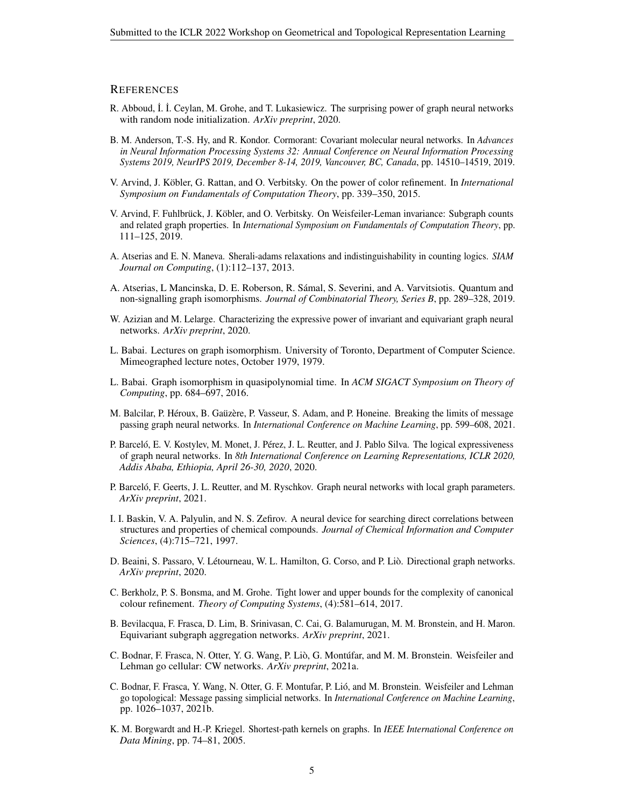### **REFERENCES**

- <span id="page-4-5"></span>R. Abboud, İ. İ. Ceylan, M. Grohe, and T. Lukasiewicz. The surprising power of graph neural networks with random node initialization. *ArXiv preprint*, 2020.
- <span id="page-4-18"></span>B. M. Anderson, T.-S. Hy, and R. Kondor. Cormorant: Covariant molecular neural networks. In *Advances in Neural Information Processing Systems 32: Annual Conference on Neural Information Processing Systems 2019, NeurIPS 2019, December 8-14, 2019, Vancouver, BC, Canada*, pp. 14510–14519, 2019.
- <span id="page-4-14"></span>V. Arvind, J. Köbler, G. Rattan, and O. Verbitsky. On the power of color refinement. In *International Symposium on Fundamentals of Computation Theory*, pp. 339–350, 2015.
- <span id="page-4-16"></span>V. Arvind, F. Fuhlbrück, J. Köbler, and O. Verbitsky. On Weisfeiler-Leman invariance: Subgraph counts and related graph properties. In *International Symposium on Fundamentals of Computation Theory*, pp. 111–125, 2019.
- <span id="page-4-12"></span>A. Atserias and E. N. Maneva. Sherali-adams relaxations and indistinguishability in counting logics. *SIAM Journal on Computing*, (1):112–137, 2013.
- <span id="page-4-13"></span>A. Atserias, L Mancinska, D. E. Roberson, R. Samal, S. Severini, and A. Varvitsiotis. Quantum and ´ non-signalling graph isomorphisms. *Journal of Combinatorial Theory, Series B*, pp. 289–328, 2019.
- <span id="page-4-3"></span>W. Azizian and M. Lelarge. Characterizing the expressive power of invariant and equivariant graph neural networks. *ArXiv preprint*, 2020.
- <span id="page-4-0"></span>L. Babai. Lectures on graph isomorphism. University of Toronto, Department of Computer Science. Mimeographed lecture notes, October 1979, 1979.
- <span id="page-4-17"></span>L. Babai. Graph isomorphism in quasipolynomial time. In *ACM SIGACT Symposium on Theory of Computing*, pp. 684–697, 2016.
- <span id="page-4-8"></span>M. Balcilar, P. Héroux, B. Gaüzère, P. Vasseur, S. Adam, and P. Honeine. Breaking the limits of message passing graph neural networks. In *International Conference on Machine Learning*, pp. 599–608, 2021.
- <span id="page-4-4"></span>P. Barceló, E. V. Kostylev, M. Monet, J. Pérez, J. L. Reutter, and J. Pablo Silva. The logical expressiveness of graph neural networks. In *8th International Conference on Learning Representations, ICLR 2020, Addis Ababa, Ethiopia, April 26-30, 2020*, 2020.
- <span id="page-4-7"></span>P. Barceló, F. Geerts, J. L. Reutter, and M. Ryschkov. Graph neural networks with local graph parameters. *ArXiv preprint*, 2021.
- <span id="page-4-2"></span>I. I. Baskin, V. A. Palyulin, and N. S. Zefirov. A neural device for searching direct correlations between structures and properties of chemical compounds. *Journal of Chemical Information and Computer Sciences*, (4):715–721, 1997.
- <span id="page-4-11"></span>D. Beaini, S. Passaro, V. Létourneau, W. L. Hamilton, G. Corso, and P. Liò. Directional graph networks. *ArXiv preprint*, 2020.
- <span id="page-4-15"></span>C. Berkholz, P. S. Bonsma, and M. Grohe. Tight lower and upper bounds for the complexity of canonical colour refinement. *Theory of Computing Systems*, (4):581–614, 2017.
- <span id="page-4-6"></span>B. Bevilacqua, F. Frasca, D. Lim, B. Srinivasan, C. Cai, G. Balamurugan, M. M. Bronstein, and H. Maron. Equivariant subgraph aggregation networks. *ArXiv preprint*, 2021.
- <span id="page-4-10"></span>C. Bodnar, F. Frasca, N. Otter, Y. G. Wang, P. Liò, G. Montúfar, and M. M. Bronstein. Weisfeiler and Lehman go cellular: CW networks. *ArXiv preprint*, 2021a.
- <span id="page-4-9"></span>C. Bodnar, F. Frasca, Y. Wang, N. Otter, G. F. Montufar, P. Lio, and M. Bronstein. Weisfeiler and Lehman ´ go topological: Message passing simplicial networks. In *International Conference on Machine Learning*, pp. 1026–1037, 2021b.
- <span id="page-4-1"></span>K. M. Borgwardt and H.-P. Kriegel. Shortest-path kernels on graphs. In *IEEE International Conference on Data Mining*, pp. 74–81, 2005.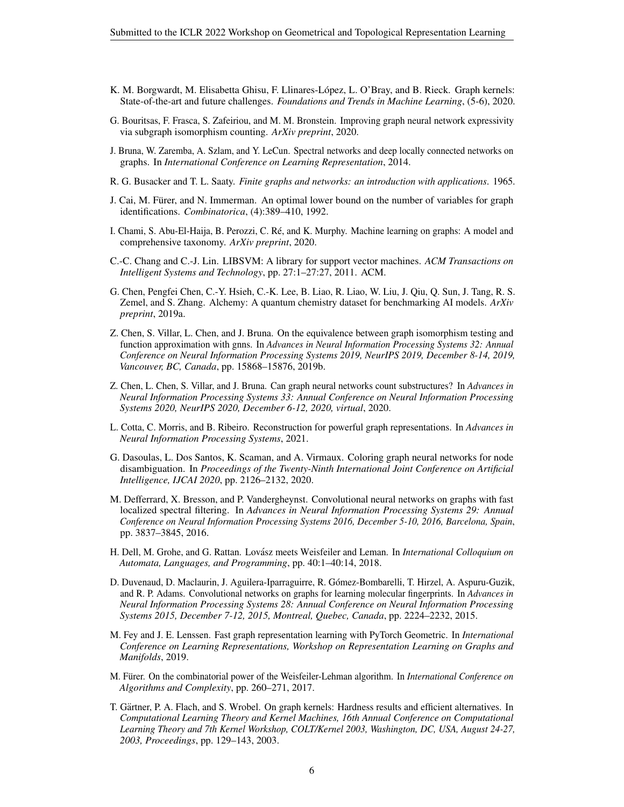- <span id="page-5-0"></span>K. M. Borgwardt, M. Elisabetta Ghisu, F. Llinares-López, L. O'Bray, and B. Rieck. Graph kernels: State-of-the-art and future challenges. *Foundations and Trends in Machine Learning*, (5-6), 2020.
- <span id="page-5-9"></span>G. Bouritsas, F. Frasca, S. Zafeiriou, and M. M. Bronstein. Improving graph neural network expressivity via subgraph isomorphism counting. *ArXiv preprint*, 2020.
- <span id="page-5-6"></span>J. Bruna, W. Zaremba, A. Szlam, and Y. LeCun. Spectral networks and deep locally connected networks on graphs. In *International Conference on Learning Representation*, 2014.
- <span id="page-5-14"></span>R. G. Busacker and T. L. Saaty. *Finite graphs and networks: an introduction with applications*. 1965.
- <span id="page-5-2"></span>J. Cai, M. Fürer, and N. Immerman. An optimal lower bound on the number of variables for graph identifications. *Combinatorica*, (4):389–410, 1992.
- <span id="page-5-1"></span>I. Chami, S. Abu-El-Haija, B. Perozzi, C. Re, and K. Murphy. Machine learning on graphs: A model and ´ comprehensive taxonomy. *ArXiv preprint*, 2020.
- <span id="page-5-17"></span>C.-C. Chang and C.-J. Lin. LIBSVM: A library for support vector machines. *ACM Transactions on Intelligent Systems and Technology*, pp. 27:1–27:27, 2011. ACM.
- <span id="page-5-15"></span>G. Chen, Pengfei Chen, C.-Y. Hsieh, C.-K. Lee, B. Liao, R. Liao, W. Liu, J. Qiu, Q. Sun, J. Tang, R. S. Zemel, and S. Zhang. Alchemy: A quantum chemistry dataset for benchmarking AI models. *ArXiv preprint*, 2019a.
- <span id="page-5-7"></span>Z. Chen, S. Villar, L. Chen, and J. Bruna. On the equivalence between graph isomorphism testing and function approximation with gnns. In *Advances in Neural Information Processing Systems 32: Annual Conference on Neural Information Processing Systems 2019, NeurIPS 2019, December 8-14, 2019, Vancouver, BC, Canada*, pp. 15868–15876, 2019b.
- <span id="page-5-13"></span>Z. Chen, L. Chen, S. Villar, and J. Bruna. Can graph neural networks count substructures? In *Advances in Neural Information Processing Systems 33: Annual Conference on Neural Information Processing Systems 2020, NeurIPS 2020, December 6-12, 2020, virtual*, 2020.
- <span id="page-5-10"></span>L. Cotta, C. Morris, and B. Ribeiro. Reconstruction for powerful graph representations. In *Advances in Neural Information Processing Systems*, 2021.
- <span id="page-5-8"></span>G. Dasoulas, L. Dos Santos, K. Scaman, and A. Virmaux. Coloring graph neural networks for node disambiguation. In *Proceedings of the Twenty-Ninth International Joint Conference on Artificial Intelligence, IJCAI 2020*, pp. 2126–2132, 2020.
- <span id="page-5-5"></span>M. Defferrard, X. Bresson, and P. Vandergheynst. Convolutional neural networks on graphs with fast localized spectral filtering. In *Advances in Neural Information Processing Systems 29: Annual Conference on Neural Information Processing Systems 2016, December 5-10, 2016, Barcelona, Spain*, pp. 3837–3845, 2016.
- <span id="page-5-11"></span>H. Dell, M. Grohe, and G. Rattan. Lovasz meets Weisfeiler and Leman. In ´ *International Colloquium on Automata, Languages, and Programming*, pp. 40:1–40:14, 2018.
- <span id="page-5-4"></span>D. Duvenaud, D. Maclaurin, J. Aguilera-Iparraguirre, R. Gómez-Bombarelli, T. Hirzel, A. Aspuru-Guzik, and R. P. Adams. Convolutional networks on graphs for learning molecular fingerprints. In *Advances in Neural Information Processing Systems 28: Annual Conference on Neural Information Processing Systems 2015, December 7-12, 2015, Montreal, Quebec, Canada*, pp. 2224–2232, 2015.
- <span id="page-5-16"></span>M. Fey and J. E. Lenssen. Fast graph representation learning with PyTorch Geometric. In *International Conference on Learning Representations, Workshop on Representation Learning on Graphs and Manifolds*, 2019.
- <span id="page-5-12"></span>M. Fürer. On the combinatorial power of the Weisfeiler-Lehman algorithm. In *International Conference on Algorithms and Complexity*, pp. 260–271, 2017.
- <span id="page-5-3"></span>T. Gartner, P. A. Flach, and S. Wrobel. On graph kernels: Hardness results and efficient alternatives. In ¨ *Computational Learning Theory and Kernel Machines, 16th Annual Conference on Computational Learning Theory and 7th Kernel Workshop, COLT/Kernel 2003, Washington, DC, USA, August 24-27, 2003, Proceedings*, pp. 129–143, 2003.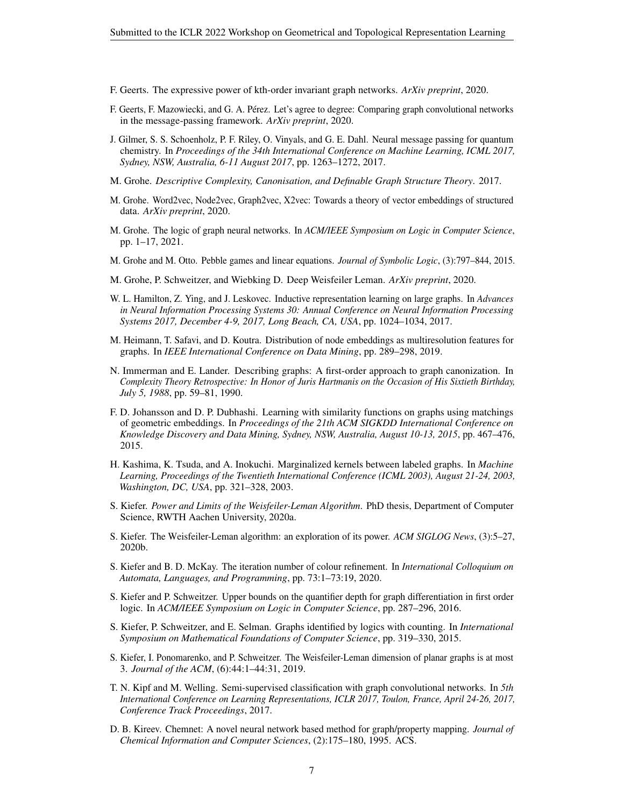- <span id="page-6-4"></span>F. Geerts. The expressive power of kth-order invariant graph networks. *ArXiv preprint*, 2020.
- <span id="page-6-11"></span>F. Geerts, F. Mazowiecki, and G. A. Perez. Let's agree to degree: Comparing graph convolutional networks ´ in the message-passing framework. *ArXiv preprint*, 2020.
- <span id="page-6-0"></span>J. Gilmer, S. S. Schoenholz, P. F. Riley, O. Vinyals, and G. E. Dahl. Neural message passing for quantum chemistry. In *Proceedings of the 34th International Conference on Machine Learning, ICML 2017, Sydney, NSW, Australia, 6-11 August 2017*, pp. 1263–1272, 2017.
- <span id="page-6-12"></span>M. Grohe. *Descriptive Complexity, Canonisation, and Definable Graph Structure Theory*. 2017.
- <span id="page-6-20"></span>M. Grohe. Word2vec, Node2vec, Graph2vec, X2vec: Towards a theory of vector embeddings of structured data. *ArXiv preprint*, 2020.
- <span id="page-6-1"></span>M. Grohe. The logic of graph neural networks. In *ACM/IEEE Symposium on Logic in Computer Science*, pp. 1–17, 2021.
- <span id="page-6-14"></span>M. Grohe and M. Otto. Pebble games and linear equations. *Journal of Symbolic Logic*, (3):797–844, 2015.
- <span id="page-6-19"></span>M. Grohe, P. Schweitzer, and Wiebking D. Deep Weisfeiler Leman. *ArXiv preprint*, 2020.
- <span id="page-6-8"></span>W. L. Hamilton, Z. Ying, and J. Leskovec. Inductive representation learning on large graphs. In *Advances in Neural Information Processing Systems 30: Annual Conference on Neural Information Processing Systems 2017, December 4-9, 2017, Long Beach, CA, USA*, pp. 1024–1034, 2017.
- <span id="page-6-7"></span>M. Heimann, T. Safavi, and D. Koutra. Distribution of node embeddings as multiresolution features for graphs. In *IEEE International Conference on Data Mining*, pp. 289–298, 2019.
- <span id="page-6-13"></span>N. Immerman and E. Lander. Describing graphs: A first-order approach to graph canonization. In *Complexity Theory Retrospective: In Honor of Juris Hartmanis on the Occasion of His Sixtieth Birthday, July 5, 1988*, pp. 59–81, 1990.
- <span id="page-6-6"></span>F. D. Johansson and D. P. Dubhashi. Learning with similarity functions on graphs using matchings of geometric embeddings. In *Proceedings of the 21th ACM SIGKDD International Conference on Knowledge Discovery and Data Mining, Sydney, NSW, Australia, August 10-13, 2015*, pp. 467–476, 2015.
- <span id="page-6-5"></span>H. Kashima, K. Tsuda, and A. Inokuchi. Marginalized kernels between labeled graphs. In *Machine Learning, Proceedings of the Twentieth International Conference (ICML 2003), August 21-24, 2003, Washington, DC, USA*, pp. 321–328, 2003.
- <span id="page-6-2"></span>S. Kiefer. *Power and Limits of the Weisfeiler-Leman Algorithm*. PhD thesis, Department of Computer Science, RWTH Aachen University, 2020a.
- <span id="page-6-3"></span>S. Kiefer. The Weisfeiler-Leman algorithm: an exploration of its power. *ACM SIGLOG News*, (3):5–27, 2020b.
- <span id="page-6-16"></span>S. Kiefer and B. D. McKay. The iteration number of colour refinement. In *International Colloquium on Automata, Languages, and Programming*, pp. 73:1–73:19, 2020.
- <span id="page-6-17"></span>S. Kiefer and P. Schweitzer. Upper bounds on the quantifier depth for graph differentiation in first order logic. In *ACM/IEEE Symposium on Logic in Computer Science*, pp. 287–296, 2016.
- <span id="page-6-15"></span>S. Kiefer, P. Schweitzer, and E. Selman. Graphs identified by logics with counting. In *International Symposium on Mathematical Foundations of Computer Science*, pp. 319–330, 2015.
- <span id="page-6-18"></span>S. Kiefer, I. Ponomarenko, and P. Schweitzer. The Weisfeiler-Leman dimension of planar graphs is at most 3. *Journal of the ACM*, (6):44:1–44:31, 2019.
- <span id="page-6-9"></span>T. N. Kipf and M. Welling. Semi-supervised classification with graph convolutional networks. In *5th International Conference on Learning Representations, ICLR 2017, Toulon, France, April 24-26, 2017, Conference Track Proceedings*, 2017.
- <span id="page-6-10"></span>D. B. Kireev. Chemnet: A novel neural network based method for graph/property mapping. *Journal of Chemical Information and Computer Sciences*, (2):175–180, 1995. ACS.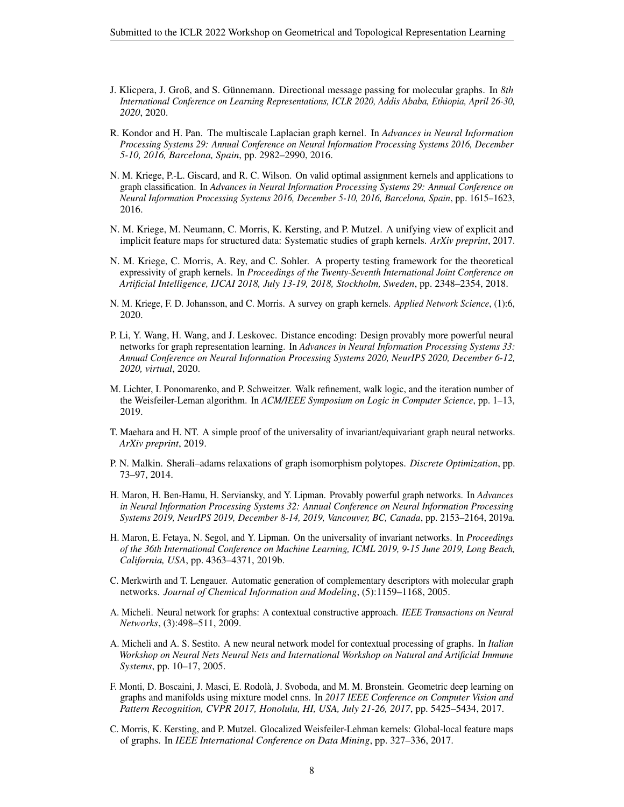- <span id="page-7-16"></span>J. Klicpera, J. Groß, and S. Günnemann. Directional message passing for molecular graphs. In 8th *International Conference on Learning Representations, ICLR 2020, Addis Ababa, Ethiopia, April 26-30, 2020*, 2020.
- <span id="page-7-5"></span>R. Kondor and H. Pan. The multiscale Laplacian graph kernel. In *Advances in Neural Information Processing Systems 29: Annual Conference on Neural Information Processing Systems 2016, December 5-10, 2016, Barcelona, Spain*, pp. 2982–2990, 2016.
- <span id="page-7-4"></span>N. M. Kriege, P.-L. Giscard, and R. C. Wilson. On valid optimal assignment kernels and applications to graph classification. In *Advances in Neural Information Processing Systems 29: Annual Conference on Neural Information Processing Systems 2016, December 5-10, 2016, Barcelona, Spain*, pp. 1615–1623, 2016.
- <span id="page-7-2"></span>N. M. Kriege, M. Neumann, C. Morris, K. Kersting, and P. Mutzel. A unifying view of explicit and implicit feature maps for structured data: Systematic studies of graph kernels. *ArXiv preprint*, 2017.
- <span id="page-7-6"></span>N. M. Kriege, C. Morris, A. Rey, and C. Sohler. A property testing framework for the theoretical expressivity of graph kernels. In *Proceedings of the Twenty-Seventh International Joint Conference on Artificial Intelligence, IJCAI 2018, July 13-19, 2018, Stockholm, Sweden*, pp. 2348–2354, 2018.
- <span id="page-7-0"></span>N. M. Kriege, F. D. Johansson, and C. Morris. A survey on graph kernels. *Applied Network Science*, (1):6, 2020.
- <span id="page-7-13"></span>P. Li, Y. Wang, H. Wang, and J. Leskovec. Distance encoding: Design provably more powerful neural networks for graph representation learning. In *Advances in Neural Information Processing Systems 33: Annual Conference on Neural Information Processing Systems 2020, NeurIPS 2020, December 6-12, 2020, virtual*, 2020.
- <span id="page-7-15"></span>M. Lichter, I. Ponomarenko, and P. Schweitzer. Walk refinement, walk logic, and the iteration number of the Weisfeiler-Leman algorithm. In *ACM/IEEE Symposium on Logic in Computer Science*, pp. 1–13, 2019.
- <span id="page-7-11"></span>T. Maehara and H. NT. A simple proof of the universality of invariant/equivariant graph neural networks. *ArXiv preprint*, 2019.
- <span id="page-7-14"></span>P. N. Malkin. Sherali–adams relaxations of graph isomorphism polytopes. *Discrete Optimization*, pp. 73–97, 2014.
- <span id="page-7-12"></span>H. Maron, H. Ben-Hamu, H. Serviansky, and Y. Lipman. Provably powerful graph networks. In *Advances in Neural Information Processing Systems 32: Annual Conference on Neural Information Processing Systems 2019, NeurIPS 2019, December 8-14, 2019, Vancouver, BC, Canada*, pp. 2153–2164, 2019a.
- <span id="page-7-1"></span>H. Maron, E. Fetaya, N. Segol, and Y. Lipman. On the universality of invariant networks. In *Proceedings of the 36th International Conference on Machine Learning, ICML 2019, 9-15 June 2019, Long Beach, California, USA*, pp. 4363–4371, 2019b.
- <span id="page-7-9"></span>C. Merkwirth and T. Lengauer. Automatic generation of complementary descriptors with molecular graph networks. *Journal of Chemical Information and Modeling*, (5):1159–1168, 2005.
- <span id="page-7-10"></span>A. Micheli. Neural network for graphs: A contextual constructive approach. *IEEE Transactions on Neural Networks*, (3):498–511, 2009.
- <span id="page-7-8"></span>A. Micheli and A. S. Sestito. A new neural network model for contextual processing of graphs. In *Italian Workshop on Neural Nets Neural Nets and International Workshop on Natural and Artificial Immune Systems*, pp. 10–17, 2005.
- <span id="page-7-7"></span>F. Monti, D. Boscaini, J. Masci, E. Rodola, J. Svoboda, and M. M. Bronstein. Geometric deep learning on ` graphs and manifolds using mixture model cnns. In *2017 IEEE Conference on Computer Vision and Pattern Recognition, CVPR 2017, Honolulu, HI, USA, July 21-26, 2017*, pp. 5425–5434, 2017.
- <span id="page-7-3"></span>C. Morris, K. Kersting, and P. Mutzel. Glocalized Weisfeiler-Lehman kernels: Global-local feature maps of graphs. In *IEEE International Conference on Data Mining*, pp. 327–336, 2017.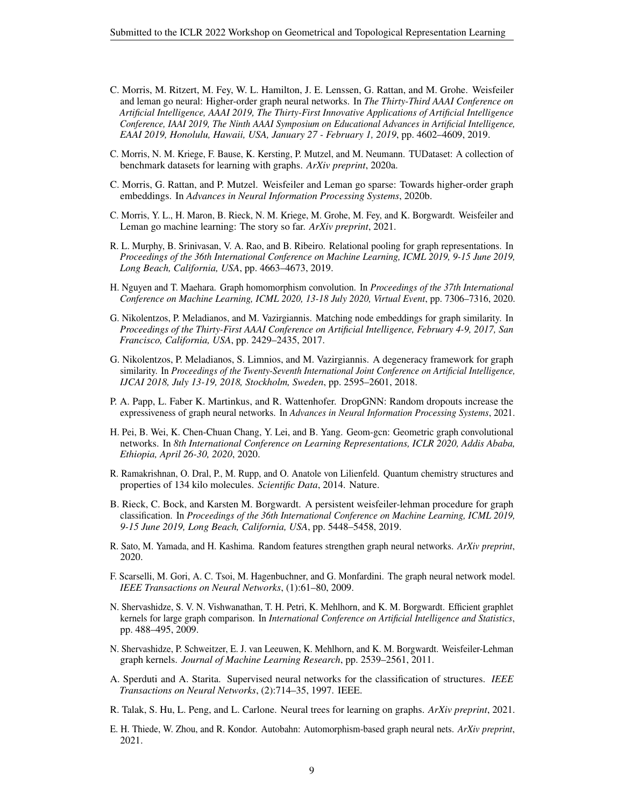- <span id="page-8-1"></span>C. Morris, M. Ritzert, M. Fey, W. L. Hamilton, J. E. Lenssen, G. Rattan, and M. Grohe. Weisfeiler and leman go neural: Higher-order graph neural networks. In *The Thirty-Third AAAI Conference on Artificial Intelligence, AAAI 2019, The Thirty-First Innovative Applications of Artificial Intelligence Conference, IAAI 2019, The Ninth AAAI Symposium on Educational Advances in Artificial Intelligence, EAAI 2019, Honolulu, Hawaii, USA, January 27 - February 1, 2019*, pp. 4602–4609, 2019.
- <span id="page-8-4"></span>C. Morris, N. M. Kriege, F. Bause, K. Kersting, P. Mutzel, and M. Neumann. TUDataset: A collection of benchmark datasets for learning with graphs. *ArXiv preprint*, 2020a.
- <span id="page-8-2"></span>C. Morris, G. Rattan, and P. Mutzel. Weisfeiler and Leman go sparse: Towards higher-order graph embeddings. In *Advances in Neural Information Processing Systems*, 2020b.
- <span id="page-8-0"></span>C. Morris, Y. L., H. Maron, B. Rieck, N. M. Kriege, M. Grohe, M. Fey, and K. Borgwardt. Weisfeiler and Leman go machine learning: The story so far. *ArXiv preprint*, 2021.
- <span id="page-8-11"></span>R. L. Murphy, B. Srinivasan, V. A. Rao, and B. Ribeiro. Relational pooling for graph representations. In *Proceedings of the 36th International Conference on Machine Learning, ICML 2019, 9-15 June 2019, Long Beach, California, USA*, pp. 4663–4673, 2019.
- <span id="page-8-15"></span>H. Nguyen and T. Maehara. Graph homomorphism convolution. In *Proceedings of the 37th International Conference on Machine Learning, ICML 2020, 13-18 July 2020, Virtual Event*, pp. 7306–7316, 2020.
- <span id="page-8-6"></span>G. Nikolentzos, P. Meladianos, and M. Vazirgiannis. Matching node embeddings for graph similarity. In *Proceedings of the Thirty-First AAAI Conference on Artificial Intelligence, February 4-9, 2017, San Francisco, California, USA*, pp. 2429–2435, 2017.
- <span id="page-8-7"></span>G. Nikolentzos, P. Meladianos, S. Limnios, and M. Vazirgiannis. A degeneracy framework for graph similarity. In *Proceedings of the Twenty-Seventh International Joint Conference on Artificial Intelligence, IJCAI 2018, July 13-19, 2018, Stockholm, Sweden*, pp. 2595–2601, 2018.
- <span id="page-8-13"></span>P. A. Papp, L. Faber K. Martinkus, and R. Wattenhofer. DropGNN: Random dropouts increase the expressiveness of graph neural networks. In *Advances in Neural Information Processing Systems*, 2021.
- <span id="page-8-18"></span>H. Pei, B. Wei, K. Chen-Chuan Chang, Y. Lei, and B. Yang. Geom-gcn: Geometric graph convolutional networks. In *8th International Conference on Learning Representations, ICLR 2020, Addis Ababa, Ethiopia, April 26-30, 2020*, 2020.
- <span id="page-8-17"></span>R. Ramakrishnan, O. Dral, P., M. Rupp, and O. Anatole von Lilienfeld. Quantum chemistry structures and properties of 134 kilo molecules. *Scientific Data*, 2014. Nature.
- <span id="page-8-8"></span>B. Rieck, C. Bock, and Karsten M. Borgwardt. A persistent weisfeiler-lehman procedure for graph classification. In *Proceedings of the 36th International Conference on Machine Learning, ICML 2019, 9-15 June 2019, Long Beach, California, USA*, pp. 5448–5458, 2019.
- <span id="page-8-12"></span>R. Sato, M. Yamada, and H. Kashima. Random features strengthen graph neural networks. *ArXiv preprint*, 2020.
- <span id="page-8-9"></span>F. Scarselli, M. Gori, A. C. Tsoi, M. Hagenbuchner, and G. Monfardini. The graph neural network model. *IEEE Transactions on Neural Networks*, (1):61–80, 2009.
- <span id="page-8-5"></span>N. Shervashidze, S. V. N. Vishwanathan, T. H. Petri, K. Mehlhorn, and K. M. Borgwardt. Efficient graphlet kernels for large graph comparison. In *International Conference on Artificial Intelligence and Statistics*, pp. 488–495, 2009.
- <span id="page-8-3"></span>N. Shervashidze, P. Schweitzer, E. J. van Leeuwen, K. Mehlhorn, and K. M. Borgwardt. Weisfeiler-Lehman graph kernels. *Journal of Machine Learning Research*, pp. 2539–2561, 2011.
- <span id="page-8-10"></span>A. Sperduti and A. Starita. Supervised neural networks for the classification of structures. *IEEE Transactions on Neural Networks*, (2):714–35, 1997. IEEE.
- <span id="page-8-16"></span>R. Talak, S. Hu, L. Peng, and L. Carlone. Neural trees for learning on graphs. *ArXiv preprint*, 2021.
- <span id="page-8-14"></span>E. H. Thiede, W. Zhou, and R. Kondor. Autobahn: Automorphism-based graph neural nets. *ArXiv preprint*, 2021.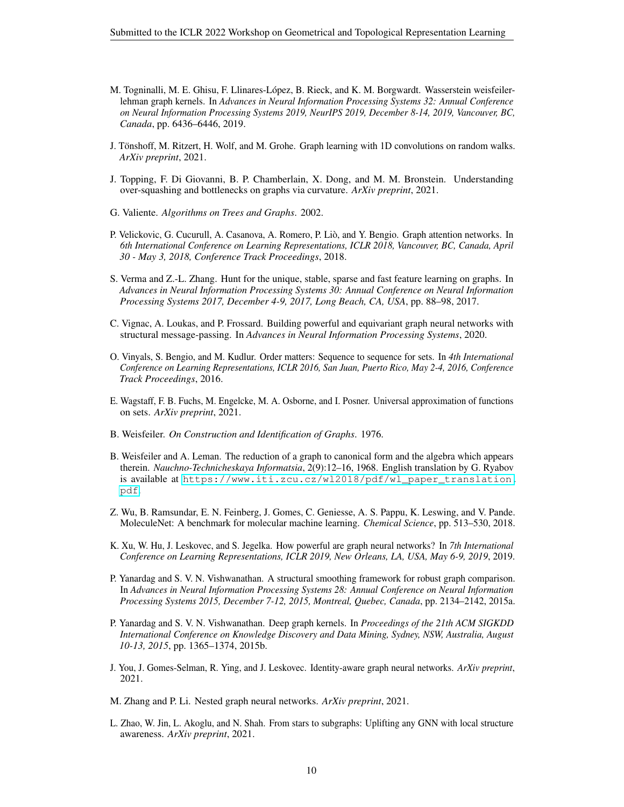- <span id="page-9-5"></span>M. Togninalli, M. E. Ghisu, F. Llinares-López, B. Rieck, and K. M. Borgwardt. Wasserstein weisfeilerlehman graph kernels. In *Advances in Neural Information Processing Systems 32: Annual Conference on Neural Information Processing Systems 2019, NeurIPS 2019, December 8-14, 2019, Vancouver, BC, Canada*, pp. 6436–6446, 2019.
- <span id="page-9-11"></span>J. Tonshoff, M. Ritzert, H. Wolf, and M. Grohe. Graph learning with 1D convolutions on random walks. ¨ *ArXiv preprint*, 2021.
- <span id="page-9-16"></span>J. Topping, F. Di Giovanni, B. P. Chamberlain, X. Dong, and M. M. Bronstein. Understanding over-squashing and bottlenecks on graphs via curvature. *ArXiv preprint*, 2021.
- <span id="page-9-13"></span>G. Valiente. *Algorithms on Trees and Graphs*. 2002.
- <span id="page-9-6"></span>P. Velickovic, G. Cucurull, A. Casanova, A. Romero, P. Lio, and Y. Bengio. Graph attention networks. In ` *6th International Conference on Learning Representations, ICLR 2018, Vancouver, BC, Canada, April 30 - May 3, 2018, Conference Track Proceedings*, 2018.
- <span id="page-9-4"></span>S. Verma and Z.-L. Zhang. Hunt for the unique, stable, sparse and fast feature learning on graphs. In *Advances in Neural Information Processing Systems 30: Annual Conference on Neural Information Processing Systems 2017, December 4-9, 2017, Long Beach, CA, USA*, pp. 88–98, 2017.
- <span id="page-9-7"></span>C. Vignac, A. Loukas, and P. Frossard. Building powerful and equivariant graph neural networks with structural message-passing. In *Advances in Neural Information Processing Systems*, 2020.
- <span id="page-9-17"></span>O. Vinyals, S. Bengio, and M. Kudlur. Order matters: Sequence to sequence for sets. In *4th International Conference on Learning Representations, ICLR 2016, San Juan, Puerto Rico, May 2-4, 2016, Conference Track Proceedings*, 2016.
- <span id="page-9-14"></span>E. Wagstaff, F. B. Fuchs, M. Engelcke, M. A. Osborne, and I. Posner. Universal approximation of functions on sets. *ArXiv preprint*, 2021.
- <span id="page-9-12"></span>B. Weisfeiler. *On Construction and Identification of Graphs*. 1976.
- <span id="page-9-0"></span>B. Weisfeiler and A. Leman. The reduction of a graph to canonical form and the algebra which appears therein. *Nauchno-Technicheskaya Informatsia*, 2(9):12–16, 1968. English translation by G. Ryabov is available at [https://www.iti.zcu.cz/wl2018/pdf/wl\\_paper\\_translation.](https://www.iti.zcu.cz/wl2018/pdf/wl_paper_translation.pdf) [pdf](https://www.iti.zcu.cz/wl2018/pdf/wl_paper_translation.pdf).
- <span id="page-9-15"></span>Z. Wu, B. Ramsundar, E. N. Feinberg, J. Gomes, C. Geniesse, A. S. Pappu, K. Leswing, and V. Pande. MoleculeNet: A benchmark for molecular machine learning. *Chemical Science*, pp. 513–530, 2018.
- <span id="page-9-1"></span>K. Xu, W. Hu, J. Leskovec, and S. Jegelka. How powerful are graph neural networks? In *7th International Conference on Learning Representations, ICLR 2019, New Orleans, LA, USA, May 6-9, 2019*, 2019.
- <span id="page-9-2"></span>P. Yanardag and S. V. N. Vishwanathan. A structural smoothing framework for robust graph comparison. In *Advances in Neural Information Processing Systems 28: Annual Conference on Neural Information Processing Systems 2015, December 7-12, 2015, Montreal, Quebec, Canada*, pp. 2134–2142, 2015a.
- <span id="page-9-3"></span>P. Yanardag and S. V. N. Vishwanathan. Deep graph kernels. In *Proceedings of the 21th ACM SIGKDD International Conference on Knowledge Discovery and Data Mining, Sydney, NSW, Australia, August 10-13, 2015*, pp. 1365–1374, 2015b.
- <span id="page-9-8"></span>J. You, J. Gomes-Selman, R. Ying, and J. Leskovec. Identity-aware graph neural networks. *ArXiv preprint*, 2021.
- <span id="page-9-9"></span>M. Zhang and P. Li. Nested graph neural networks. *ArXiv preprint*, 2021.
- <span id="page-9-10"></span>L. Zhao, W. Jin, L. Akoglu, and N. Shah. From stars to subgraphs: Uplifting any GNN with local structure awareness. *ArXiv preprint*, 2021.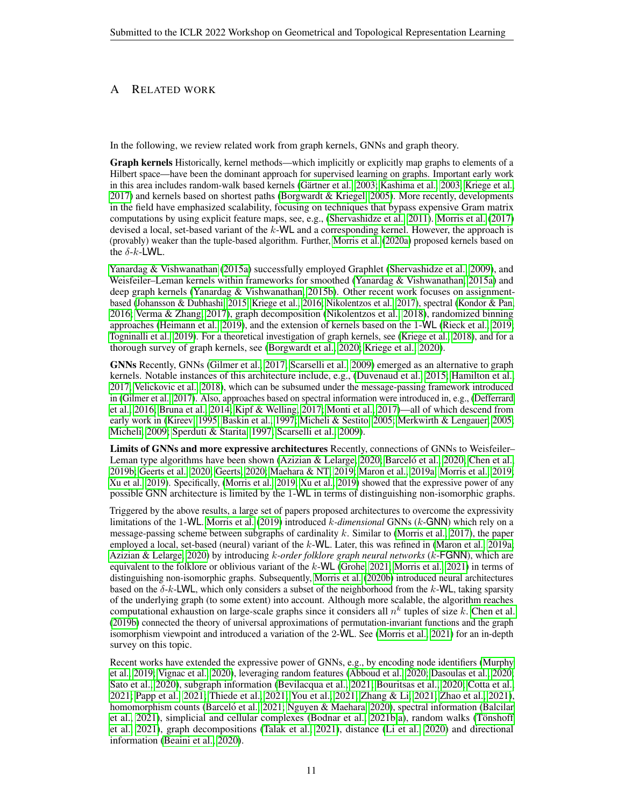# <span id="page-10-0"></span>A RELATED WORK

In the following, we review related work from graph kernels, GNNs and graph theory.

Graph kernels Historically, kernel methods—which implicitly or explicitly map graphs to elements of a Hilbert space—have been the dominant approach for supervised learning on graphs. Important early work in this area includes random-walk based kernels (Gärtner et al., 2003; [Kashima et al., 2003;](#page-6-5) [Kriege et al.,](#page-7-2) [2017\)](#page-7-2) and kernels based on shortest paths [\(Borgwardt & Kriegel, 2005\)](#page-4-1). More recently, developments in the field have emphasized scalability, focusing on techniques that bypass expensive Gram matrix computations by using explicit feature maps, see, e.g., [\(Shervashidze et al., 2011\)](#page-8-3). [Morris et al.](#page-7-3) [\(2017\)](#page-7-3) devised a local, set-based variant of the  $k$ -WL and a corresponding kernel. However, the approach is (provably) weaker than the tuple-based algorithm. Further, [Morris et al.](#page-8-4) [\(2020a\)](#page-8-4) proposed kernels based on the  $\delta$ -k-LWL.

[Yanardag & Vishwanathan](#page-9-2) [\(2015a\)](#page-9-2) successfully employed Graphlet [\(Shervashidze et al., 2009\)](#page-8-5), and Weisfeiler–Leman kernels within frameworks for smoothed [\(Yanardag & Vishwanathan, 2015a\)](#page-9-2) and deep graph kernels [\(Yanardag & Vishwanathan, 2015b\)](#page-9-3). Other recent work focuses on assignmentbased [\(Johansson & Dubhashi, 2015;](#page-6-6) [Kriege et al., 2016;](#page-7-4) [Nikolentzos et al., 2017\)](#page-8-6), spectral [\(Kondor & Pan,](#page-7-5) [2016;](#page-7-5) [Verma & Zhang, 2017\)](#page-9-4), graph decomposition [\(Nikolentzos et al., 2018\)](#page-8-7), randomized binning approaches [\(Heimann et al., 2019\)](#page-6-7), and the extension of kernels based on the 1-WL [\(Rieck et al., 2019;](#page-8-8) [Togninalli et al., 2019\)](#page-9-5). For a theoretical investigation of graph kernels, see [\(Kriege et al., 2018\)](#page-7-6), and for a thorough survey of graph kernels, see [\(Borgwardt et al., 2020;](#page-5-0) [Kriege et al., 2020\)](#page-7-0).

GNNs Recently, GNNs [\(Gilmer et al., 2017;](#page-6-0) [Scarselli et al., 2009\)](#page-8-9) emerged as an alternative to graph kernels. Notable instances of this architecture include, e.g., [\(Duvenaud et al., 2015;](#page-5-4) [Hamilton et al.,](#page-6-8) [2017;](#page-6-8) [Velickovic et al., 2018\)](#page-9-6), which can be subsumed under the message-passing framework introduced in [\(Gilmer et al., 2017\)](#page-6-0). Also, approaches based on spectral information were introduced in, e.g., [\(Defferrard](#page-5-5) [et al., 2016;](#page-5-5) [Bruna et al., 2014;](#page-5-6) [Kipf & Welling, 2017;](#page-6-9) [Monti et al., 2017\)](#page-7-7)—all of which descend from early work in [\(Kireev, 1995;](#page-6-10) [Baskin et al., 1997;](#page-4-2) [Micheli & Sestito, 2005;](#page-7-8) [Merkwirth & Lengauer, 2005;](#page-7-9) [Micheli, 2009;](#page-7-10) [Sperduti & Starita, 1997;](#page-8-10) [Scarselli et al., 2009\)](#page-8-9).

Limits of GNNs and more expressive architectures Recently, connections of GNNs to Weisfeiler– Leman type algorithms have been shown [\(Azizian & Lelarge, 2020;](#page-4-3) [Barcelo et al., 2020;](#page-4-4) [Chen et al.,](#page-5-7) [2019b;](#page-5-7) [Geerts et al., 2020;](#page-6-11) [Geerts, 2020;](#page-6-4) [Maehara & NT, 2019;](#page-7-11) [Maron et al., 2019a;](#page-7-12) [Morris et al., 2019;](#page-8-1) [Xu et al., 2019\)](#page-9-1). Specifically, [\(Morris et al., 2019;](#page-8-1) [Xu et al., 2019\)](#page-9-1) showed that the expressive power of any possible GNN architecture is limited by the 1-WL in terms of distinguishing non-isomorphic graphs.

Triggered by the above results, a large set of papers proposed architectures to overcome the expressivity limitations of the 1-WL. [Morris et al.](#page-8-1) [\(2019\)](#page-8-1) introduced k*-dimensional* GNNs (k-GNN) which rely on a message-passing scheme between subgraphs of cardinality  $k$ . Similar to [\(Morris et al., 2017\)](#page-7-3), the paper employed a local, set-based (neural) variant of the k-WL. Later, this was refined in [\(Maron et al., 2019a;](#page-7-12) [Azizian & Lelarge, 2020\)](#page-4-3) by introducing k*-order folklore graph neural networks* (k-FGNN), which are equivalent to the folklore or oblivious variant of the  $k$ -WL [\(Grohe, 2021;](#page-6-1) [Morris et al., 2021\)](#page-8-0) in terms of distinguishing non-isomorphic graphs. Subsequently, [Morris et al.](#page-8-2) [\(2020b\)](#page-8-2) introduced neural architectures based on the  $\delta$ -k-LWL, which only considers a subset of the neighborhood from the k-WL, taking sparsity of the underlying graph (to some extent) into account. Although more scalable, the algorithm reaches computational exhaustion on large-scale graphs since it considers all  $n^k$  tuples of size k. [Chen et al.](#page-5-7) [\(2019b\)](#page-5-7) connected the theory of universal approximations of permutation-invariant functions and the graph isomorphism viewpoint and introduced a variation of the 2-WL. See [\(Morris et al., 2021\)](#page-8-0) for an in-depth survey on this topic.

Recent works have extended the expressive power of GNNs, e.g., by encoding node identifiers [\(Murphy](#page-8-11) [et al., 2019;](#page-8-11) [Vignac et al., 2020\)](#page-9-7), leveraging random features [\(Abboud et al., 2020;](#page-4-5) [Dasoulas et al., 2020;](#page-5-8) [Sato et al., 2020\)](#page-8-12), subgraph information [\(Bevilacqua et al., 2021;](#page-4-6) [Bouritsas et al., 2020;](#page-5-9) [Cotta et al.,](#page-5-10) [2021;](#page-5-10) [Papp et al., 2021;](#page-8-13) [Thiede et al., 2021;](#page-8-14) [You et al., 2021;](#page-9-8) [Zhang & Li, 2021;](#page-9-9) [Zhao et al., 2021\)](#page-9-10), homomorphism counts (Barceló et al., 2021; [Nguyen & Maehara, 2020\)](#page-8-15), spectral information [\(Balcilar](#page-4-8) [et al., 2021\)](#page-4-8), simplicial and cellular complexes [\(Bodnar et al., 2021b;](#page-4-9)[a\)](#page-4-10), random walks (Tönshoff [et al., 2021\)](#page-9-11), graph decompositions [\(Talak et al., 2021\)](#page-8-16), distance [\(Li et al., 2020\)](#page-7-13) and directional information [\(Beaini et al., 2020\)](#page-4-11).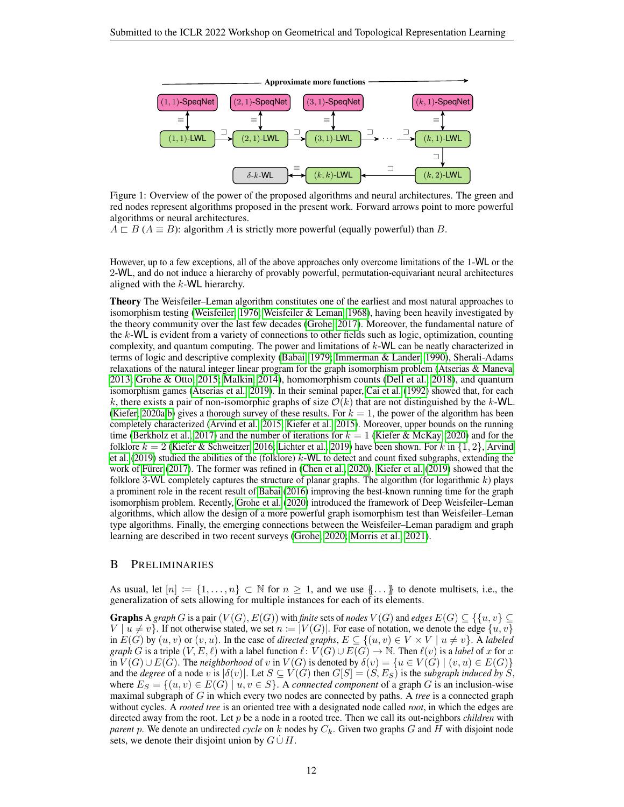<span id="page-11-0"></span>

Figure 1: Overview of the power of the proposed algorithms and neural architectures. The green and red nodes represent algorithms proposed in the present work. Forward arrows point to more powerful algorithms or neural architectures.

 $A \sqsubset B$  ( $A \equiv B$ ): algorithm A is strictly more powerful (equally powerful) than B.

However, up to a few exceptions, all of the above approaches only overcome limitations of the 1-WL or the 2-WL, and do not induce a hierarchy of provably powerful, permutation-equivariant neural architectures aligned with the  $k$ -WL hierarchy.

Theory The Weisfeiler–Leman algorithm constitutes one of the earliest and most natural approaches to isomorphism testing [\(Weisfeiler, 1976;](#page-9-12) [Weisfeiler & Leman, 1968\)](#page-9-0), having been heavily investigated by the theory community over the last few decades [\(Grohe, 2017\)](#page-6-12). Moreover, the fundamental nature of the k-WL is evident from a variety of connections to other fields such as logic, optimization, counting complexity, and quantum computing. The power and limitations of  $k$ -WL can be neatly characterized in terms of logic and descriptive complexity [\(Babai, 1979;](#page-4-0) [Immerman & Lander, 1990\)](#page-6-13), Sherali-Adams relaxations of the natural integer linear program for the graph isomorphism problem [\(Atserias & Maneva,](#page-4-12) [2013;](#page-4-12) [Grohe & Otto, 2015;](#page-6-14) [Malkin, 2014\)](#page-7-14), homomorphism counts [\(Dell et al., 2018\)](#page-5-11), and quantum isomorphism games [\(Atserias et al., 2019\)](#page-4-13). In their seminal paper, [Cai et al.](#page-5-2) [\(1992\)](#page-5-2) showed that, for each k, there exists a pair of non-isomorphic graphs of size  $\mathcal{O}(k)$  that are not distinguished by the k-WL. [\(Kiefer, 2020a;](#page-6-2)[b\)](#page-6-3) gives a thorough survey of these results. For  $k = 1$ , the power of the algorithm has been completely characterized [\(Arvind et al., 2015;](#page-4-14) [Kiefer et al., 2015\)](#page-6-15). Moreover, upper bounds on the running time [\(Berkholz et al., 2017\)](#page-4-15) and the number of iterations for  $k = 1$  [\(Kiefer & McKay, 2020\)](#page-6-16) and for the folklore  $k = 2$  [\(Kiefer & Schweitzer, 2016;](#page-6-17) [Lichter et al., 2019\)](#page-7-15) have been shown. For k in  $\{1, 2\}$ , [Arvind](#page-4-16) [et al.](#page-4-16) [\(2019\)](#page-4-16) studied the abilities of the (folklore)  $k$ -WL to detect and count fixed subgraphs, extending the work of Fürer [\(2017\)](#page-5-12). The former was refined in [\(Chen et al., 2020\)](#page-5-13). [Kiefer et al.](#page-6-18) [\(2019\)](#page-6-18) showed that the folklore 3-WL completely captures the structure of planar graphs. The algorithm (for logarithmic  $k$ ) plays a prominent role in the recent result of [Babai](#page-4-17) [\(2016\)](#page-4-17) improving the best-known running time for the graph isomorphism problem. Recently, [Grohe et al.](#page-6-19) [\(2020\)](#page-6-19) introduced the framework of Deep Weisfeiler–Leman algorithms, which allow the design of a more powerful graph isomorphism test than Weisfeiler–Leman type algorithms. Finally, the emerging connections between the Weisfeiler–Leman paradigm and graph learning are described in two recent surveys [\(Grohe, 2020;](#page-6-20) [Morris et al., 2021\)](#page-8-0).

### <span id="page-11-1"></span>B PRELIMINARIES

As usual, let  $[n] := \{1, \ldots, n\} \subset \mathbb{N}$  for  $n \geq 1$ , and we use  $\{\ldots\}$  to denote multisets, i.e., the generalization of sets allowing for multiple instances for each of its elements.

**Graphs** A graph G is a pair  $(V(G), E(G))$  with *finite* sets of *nodes*  $V(G)$  and *edges*  $E(G) \subseteq \{ \{u, v\} \subseteq E(G) \}$  $V \mid u \neq v$ . If not otherwise stated, we set  $n := |V(G)|$ . For ease of notation, we denote the edge  $\{u, v\}$ in  $E(G)$  by  $(u, v)$  or  $(v, u)$ . In the case of *directed graphs*,  $E \subseteq \{(u, v) \in V \times V \mid u \neq v\}$ . A *labeled graph* G is a triple  $(V, E, \ell)$  with a label function  $\ell : V(G) \cup E(G) \rightarrow \mathbb{N}$ . Then  $\ell(v)$  is a *label* of x for x in  $V(G) \cup E(G)$ . The *neighborhood* of v in  $V(G)$  is denoted by  $\delta(v) = \{u \in V(G) \mid (v, u) \in E(G)\}\$ and the *degree* of a node v is  $|\delta(v)|$ . Let  $S \subseteq V(G)$  then  $G[S] = (S, E_S)$  is the *subgraph induced by* S, where  $E_S = \{(u, v) \in E(G) \mid u, v \in S\}$ . A *connected component* of a graph G is an inclusion-wise maximal subgraph of G in which every two nodes are connected by paths. A *tree* is a connected graph without cycles. A *rooted tree* is an oriented tree with a designated node called *root*, in which the edges are directed away from the root. Let p be a node in a rooted tree. Then we call its out-neighbors *children* with *parent* p. We denote an undirected *cycle* on k nodes by  $C_k$ . Given two graphs G and H with disjoint node sets, we denote their disjoint union by  $G \cup H$ .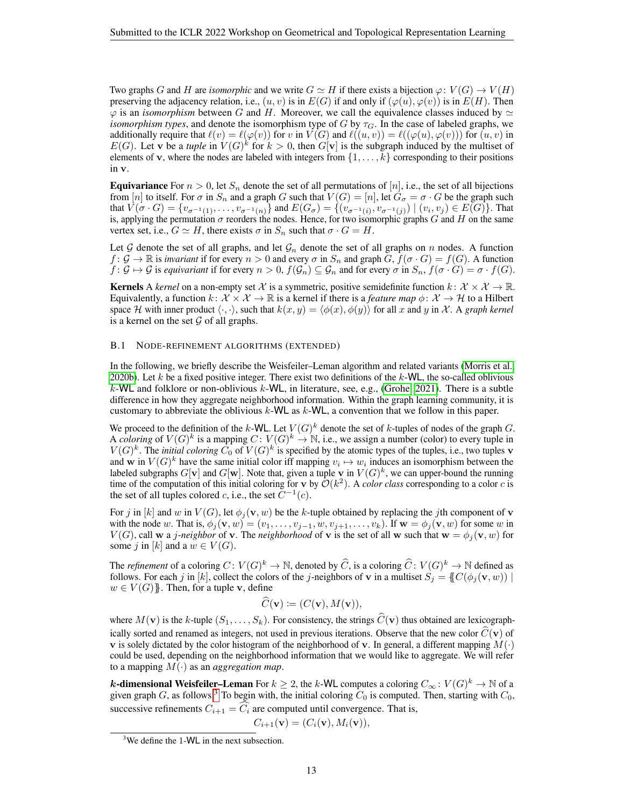Two graphs G and H are *isomorphic* and we write  $G \simeq H$  if there exists a bijection  $\varphi: V(G) \to V(H)$ preserving the adjacency relation, i.e.,  $(u, v)$  is in  $E(G)$  if and only if  $(\varphi(u), \varphi(v))$  is in  $E(H)$ . Then  $\varphi$  is an *isomorphism* between G and H. Moreover, we call the equivalence classes induced by  $\simeq$ *isomorphism types*, and denote the isomorphism type of G by  $\tau_G$ . In the case of labeled graphs, we additionally require that  $\ell(v) = \ell(\varphi(v))$  for v in  $V(G)$  and  $\ell((u, v)) = \ell((\varphi(u), \varphi(v)))$  for  $(u, v)$  in  $E(G)$ . Let v be a *tuple* in  $V(G)^k$  for  $k > 0$ , then  $G[v]$  is the subgraph induced by the multiset of elements of v, where the nodes are labeled with integers from  $\{1, \ldots, k\}$  corresponding to their positions in v.

**Equivariance** For  $n > 0$ , let  $S_n$  denote the set of all permutations of [n], i.e., the set of all bijections from [n] to itself. For  $\sigma$  in  $S_n$  and a graph G such that  $V(G) = [n]$ , let  $G_{\sigma} = \sigma \cdot G$  be the graph such that  $V(\sigma \cdot G) = \{v_{\sigma^{-1}(1)}, \ldots, v_{\sigma^{-1}(n)}\}$  and  $E(G_{\sigma}) = \{(v_{\sigma^{-1}(i)}, v_{\sigma^{-1}(j)}) \mid (v_i, v_j) \in E(G)\}$ . That is, applying the permutation  $\sigma$  reorders the nodes. Hence, for two isomorphic graphs G and H on the same vertex set, i.e.,  $G \simeq H$ , there exists  $\sigma$  in  $S_n$  such that  $\sigma \cdot G = H$ .

Let G denote the set of all graphs, and let  $\mathcal{G}_n$  denote the set of all graphs on n nodes. A function  $f: \mathcal{G} \to \mathbb{R}$  is *invariant* if for every  $n > 0$  and every  $\sigma$  in  $S_n$  and graph  $G, f(\sigma \cdot G) = f(G)$ . A function  $f: \mathcal{G} \mapsto \mathcal{G}$  is *equivariant* if for every  $n > 0$ ,  $f(\mathcal{G}_n) \subseteq \mathcal{G}_n$  and for every  $\sigma$  in  $S_n$ ,  $f(\sigma \cdot G) = \sigma \cdot f(G)$ .

**Kernels** A *kernel* on a non-empty set X is a symmetric, positive semidefinite function  $k: \mathcal{X} \times \mathcal{X} \to \mathbb{R}$ . Equivalently, a function  $k: \mathcal{X} \times \mathcal{X} \to \mathbb{R}$  is a kernel if there is a *feature map*  $\phi: \mathcal{X} \to \mathcal{H}$  to a Hilbert space H with inner product  $\langle \cdot, \cdot \rangle$ , such that  $k(x, y) = \langle \phi(x), \phi(y) \rangle$  for all x and y in X. A *graph kernel* is a kernel on the set  $G$  of all graphs.

#### B.1 NODE-REFINEMENT ALGORITHMS (EXTENDED)

In the following, we briefly describe the Weisfeiler–Leman algorithm and related variants [\(Morris et al.,](#page-8-2) [2020b\)](#page-8-2). Let k be a fixed positive integer. There exist two definitions of the  $k$ -WL, the so-called oblivious k-WL and folklore or non-oblivious k-WL, in literature, see, e.g., [\(Grohe, 2021\)](#page-6-1). There is a subtle difference in how they aggregate neighborhood information. Within the graph learning community, it is customary to abbreviate the oblivious k-WL as k-WL, a convention that we follow in this paper.

We proceed to the definition of the k-WL. Let  $V(G)^k$  denote the set of k-tuples of nodes of the graph G. A *coloring* of  $V(G)^k$  is a mapping  $C: V(G)^k \to \mathbb{N}$ , i.e., we assign a number (color) to every tuple in  $V(G)^k$ . The *initial coloring*  $\widetilde{C_0}$  of  $V(G)^k$  is specified by the atomic types of the tuples, i.e., two tuples v and w in  $V(G)^k$  have the same initial color iff mapping  $v_i \mapsto w_i$  induces an isomorphism between the labeled subgraphs  $G[\mathbf{v}]$  and  $G[\mathbf{w}]$ . Note that, given a tuple  $\mathbf{v}$  in  $V(G)^k$ , we can upper-bound the running time of the computation of this initial coloring for  $\bf{v}$  by  $\mathcal{O}(k^2)$ . A *color class* corresponding to a color c is the set of all tuples colored c, i.e., the set  $C^{-1}(c)$ .

For j in  $[k]$  and w in  $V(G)$ , let  $\phi_i(\mathbf{v}, w)$  be the k-tuple obtained by replacing the jth component of v with the node w. That is,  $\phi_j(\mathbf{v}, w) = (v_1, \dots, v_{j-1}, w, v_{j+1}, \dots, v_k)$ . If  $\mathbf{w} = \phi_j(\mathbf{v}, w)$  for some w in  $V(G)$ , call w a *j*-neighbor of v. The *neighborhood* of v is the set of all w such that  $w = \phi_j(v, w)$  for some j in |k| and a  $w \in V(G)$ .

The *refinement* of a coloring  $C: V(G)^k \to \mathbb{N}$ , denoted by  $\widehat{C}$ , is a coloring  $\widehat{C}: V(G)^k \to \mathbb{N}$  defined as follows. For each j in [k], collect the colors of the j-neighbors of v in a multiset  $S_j = \{C(\phi_j(v, w)) \mid$  $w \in V(G)$ . Then, for a tuple v, define

$$
\widehat{C}(\mathbf{v}) \coloneqq (C(\mathbf{v}), M(\mathbf{v})),
$$

where  $M(\mathbf{v})$  is the k-tuple  $(S_1, \ldots, S_k)$ . For consistency, the strings  $\widetilde{C}(\mathbf{v})$  thus obtained are lexicographically sorted and renamed as integers, not used in previous iterations. Observe that the new color  $\hat{C}(v)$  of **v** is solely dictated by the color histogram of the neighborhood of **v**. In general, a different mapping  $M(\cdot)$ could be used, depending on the neighborhood information that we would like to aggregate. We will refer to a mapping  $M(\cdot)$  as an *aggregation map*.

**k-dimensional Weisfeiler–Leman** For  $k \geq 2$ , the k-WL computes a coloring  $C_{\infty} : V(G)^{k} \to \mathbb{N}$  of a given graph G, as follows.<sup>[3](#page-0-0)</sup> To begin with, the initial coloring  $C_0$  is computed. Then, starting with  $C_0$ , successive refinements  $C_{i+1} = \widehat{C_i}$  are computed until convergence. That is,

$$
C_{i+1}(\mathbf{v}) = (C_i(\mathbf{v}), M_i(\mathbf{v})),
$$

<sup>&</sup>lt;sup>3</sup>We define the 1-WL in the next subsection.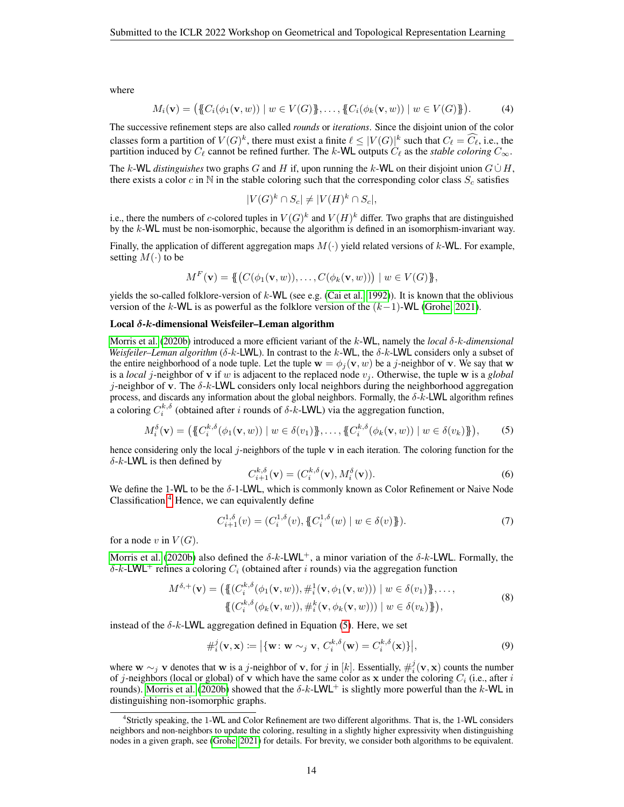where

$$
M_i(\mathbf{v}) = (\{C_i(\phi_1(\mathbf{v}, w)) \mid w \in V(G)\}, \dots, \{C_i(\phi_k(\mathbf{v}, w)) \mid w \in V(G)\}).
$$
 (4)

The successive refinement steps are also called *rounds* or *iterations*. Since the disjoint union of the color classes form a partition of  $V(G)^k$ , there must exist a finite  $\ell \leq |V(G)|^k$  such that  $C_\ell = \widehat{C_\ell}$ , i.e., the partition induced by  $C_\ell$  cannot be refined further. The k-WL outputs  $C_\ell$  as the *stable coloring*  $C_\infty$ .

The k-WL *distinguishes* two graphs G and H if, upon running the k-WL on their disjoint union  $G \cup H$ , there exists a color c in N in the stable coloring such that the corresponding color class  $S_c$  satisfies

$$
|V(G)^k \cap S_c| \neq |V(H)^k \cap S_c|,
$$

i.e., there the numbers of c-colored tuples in  $V(G)^k$  and  $V(H)^k$  differ. Two graphs that are distinguished by the  $k$ -WL must be non-isomorphic, because the algorithm is defined in an isomorphism-invariant way.

Finally, the application of different aggregation maps  $M(\cdot)$  yield related versions of k-WL. For example, setting  $M(\cdot)$  to be

$$
M^F(\mathbf{v}) = \{ \{(C(\phi_1(\mathbf{v}, w)), \dots, C(\phi_k(\mathbf{v}, w))) \mid w \in V(G) \},\}
$$

yields the so-called folklore-version of  $k$ -WL (see e.g. [\(Cai et al., 1992\)](#page-5-2)). It is known that the oblivious version of the k-WL is as powerful as the folklore version of the  $(k-1)$ -WL [\(Grohe, 2021\)](#page-6-1).

### Local δ-k-dimensional Weisfeiler–Leman algorithm

[Morris et al.](#page-8-2) [\(2020b\)](#page-8-2) introduced a more efficient variant of the k-WL, namely the *local* δ*-*k*-dimensional Weisfeiler–Leman algorithm* ( $\delta$ -k-LWL). In contrast to the k-WL, the  $\delta$ -k-LWL considers only a subset of the entire neighborhood of a node tuple. Let the tuple  $\mathbf{w} = \phi_i(\mathbf{v}, w)$  be a j-neighbor of v. We say that w is a *local* j-neighbor of **v** if w is adjacent to the replaced node  $v_j$ . Otherwise, the tuple **w** is a *global* j-neighbor of v. The  $\delta$ -k-LWL considers only local neighbors during the neighborhood aggregation process, and discards any information about the global neighbors. Formally, the  $\delta$ -k-LWL algorithm refines a coloring  $C_i^{k,\delta}$  (obtained after i rounds of  $\delta$ -k-LWL) via the aggregation function,

$$
M_i^{\delta}(\mathbf{v}) = (\{C_i^{k,\delta}(\phi_1(\mathbf{v}, w)) \mid w \in \delta(v_1)\}, \dots, \{C_i^{k,\delta}(\phi_k(\mathbf{v}, w)) \mid w \in \delta(v_k)\}),
$$
 (5)

hence considering only the local j-neighbors of the tuple  $\bf{v}$  in each iteration. The coloring function for the  $\delta$ -k-LWL is then defined by

<span id="page-13-0"></span>
$$
C_{i+1}^{k,\delta}(\mathbf{v}) = (C_i^{k,\delta}(\mathbf{v}), M_i^{\delta}(\mathbf{v})).
$$
\n(6)

We define the 1-WL to be the  $\delta$ -1-LWL, which is commonly known as Color Refinement or Naive Node Classification.[4](#page-0-0) Hence, we can equivalently define

$$
C_{i+1}^{1,\delta}(v) = (C_i^{1,\delta}(v), \{C_i^{1,\delta}(w) \mid w \in \delta(v)\}).
$$
\n(7)

for a node v in  $V(G)$ .

[Morris et al.](#page-8-2) [\(2020b\)](#page-8-2) also defined the  $\delta$ -k-LWL<sup>+</sup>, a minor variation of the  $\delta$ -k-LWL. Formally, the δ-k-LWL<sup>+</sup> refines a coloring  $C_i$  (obtained after i rounds) via the aggregation function

$$
M^{\delta,+}(\mathbf{v}) = (\{ (C_i^{k,\delta}(\phi_1(\mathbf{v}, w)), \#_i^1(\mathbf{v}, \phi_1(\mathbf{v}, w))) \mid w \in \delta(v_1) \}, \dots, \{ (C_i^{k,\delta}(\phi_k(\mathbf{v}, w)), \#_i^k(\mathbf{v}, \phi_k(\mathbf{v}, w))) \mid w \in \delta(v_k) \} ),
$$
\n(8)

instead of the  $\delta$ -k-LWL aggregation defined in Equation [\(5\)](#page-13-0). Here, we set

 $k$ ,  $k$ 

$$
\#_i^j(\mathbf{v}, \mathbf{x}) \coloneqq \left| \{ \mathbf{w} \colon \mathbf{w} \sim_j \mathbf{v}, C_i^{k, \delta}(\mathbf{w}) = C_i^{k, \delta}(\mathbf{x}) \} \right|,\tag{9}
$$

where  $w \sim_j v$  denotes that w is a j-neighbor of v, for j in [k]. Essentially,  $\#_i^j(v, x)$  counts the number of j-neighbors (local or global) of v which have the same color as x under the coloring  $C_i$  (i.e., after i rounds). [Morris et al.](#page-8-2) [\(2020b\)](#page-8-2) showed that the  $\delta$ -k-LWL<sup>+</sup> is slightly more powerful than the k-WL in distinguishing non-isomorphic graphs.

<sup>4</sup> Strictly speaking, the 1-WL and Color Refinement are two different algorithms. That is, the 1-WL considers neighbors and non-neighbors to update the coloring, resulting in a slightly higher expressivity when distinguishing nodes in a given graph, see [\(Grohe, 2021\)](#page-6-1) for details. For brevity, we consider both algorithms to be equivalent.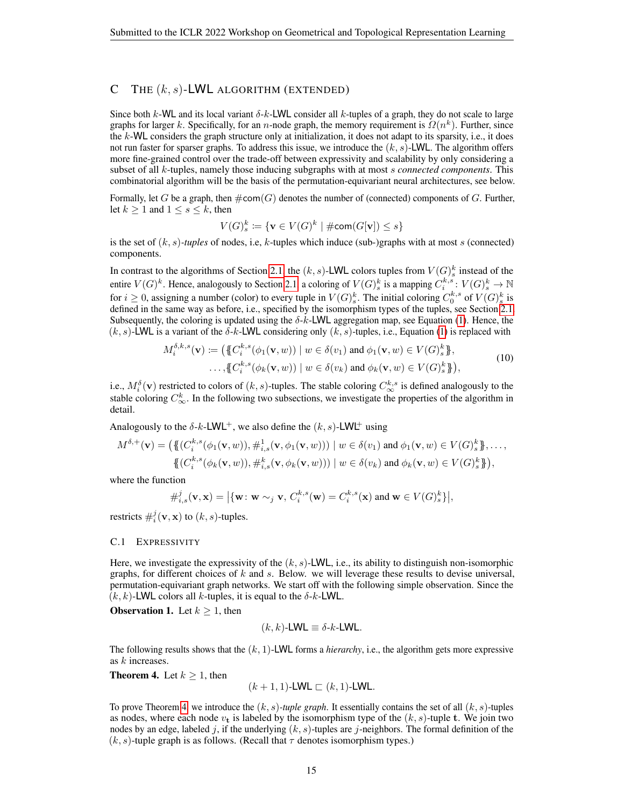# C THE  $(k, s)$ -LWL ALGORITHM (EXTENDED)

Since both k-WL and its local variant  $\delta$ -k-LWL consider all k-tuples of a graph, they do not scale to large graphs for larger k. Specifically, for an n-node graph, the memory requirement is  $\Omega(n^k)$ . Further, since the  $k$ -WL considers the graph structure only at initialization, it does not adapt to its sparsity, i.e., it does not run faster for sparser graphs. To address this issue, we introduce the  $(k, s)$ -LWL. The algorithm offers more fine-grained control over the trade-off between expressivity and scalability by only considering a subset of all k-tuples, namely those inducing subgraphs with at most s *connected components*. This combinatorial algorithm will be the basis of the permutation-equivariant neural architectures, see below.

Formally, let G be a graph, then  $\#\text{com}(G)$  denotes the number of (connected) components of G. Further, let  $k \geq 1$  and  $1 \leq s \leq k$ , then

$$
V(G)_s^k \coloneqq \{ \mathbf{v} \in V(G)^k \mid \# \mathsf{com}(G[\mathbf{v}]) \leq s \}
$$

is the set of  $(k, s)$ *-tuples* of nodes, i.e, k-tuples which induce (sub-)graphs with at most s (connected) components.

In contrast to the algorithms of Section [2.1,](#page-1-0) the  $(k, s)$ -LWL colors tuples from  $V(G)_{s}^{k}$  instead of the entire  $V(G)^k$ . Hence, analogously to Section [2.1,](#page-1-0) a coloring of  $V(G)_{s}^k$  is a mapping  $C_i^{k,s}: V(G)_{s}^k \to \mathbb{N}$ for  $i \ge 0$ , assigning a number (color) to every tuple in  $V(G)_{s}^{k}$ . The initial coloring  $C_{0}^{k,s}$  of  $V(G)_{s}^{k}$  is defined in the same way as before, i.e., specified by the isomorphism types of the tuples, see Section [2.1.](#page-1-0) Subsequently, the coloring is updated using the  $\delta$ -k-LWL aggregation map, see Equation [\(1\)](#page-1-1). Hence, the  $(k, s)$ -LWL is a variant of the  $\delta k$ -LWL considering only  $(k, s)$ -tuples, i.e., Equation [\(1\)](#page-1-1) is replaced with

$$
M_i^{\delta,k,s}(\mathbf{v}) \coloneqq \left( \{ C_i^{k,s}(\phi_1(\mathbf{v}, w)) \mid w \in \delta(v_1) \text{ and } \phi_1(\mathbf{v}, w) \in V(G)_s^k \}, \dots, \{ C_i^{k,s}(\phi_k(\mathbf{v}, w)) \mid w \in \delta(v_k) \text{ and } \phi_k(\mathbf{v}, w) \in V(G)_s^k \} \right),
$$
\n
$$
(10)
$$

i.e.,  $M_i^{\delta}(\mathbf{v})$  restricted to colors of  $(k, s)$ -tuples. The stable coloring  $C_{\infty}^{k, s}$  is defined analogously to the stable coloring  $C_{\infty}^k$ . In the following two subsections, we investigate the properties of the algorithm in detail.

Analogously to the  $\delta$ -k-LWL<sup>+</sup>, we also define the  $(k, s)$ -LWL<sup>+</sup> using

$$
M^{\delta,+}(\mathbf{v}) = (\{ (C_i^{k,s}(\phi_1(\mathbf{v},w)), \#_{i,s}^1(\mathbf{v},\phi_1(\mathbf{v},w))) \mid w \in \delta(v_1) \text{ and } \phi_1(\mathbf{v},w) \in V(G)_s^k \}, \dots, \{ (C_i^{k,s}(\phi_k(\mathbf{v},w)), \#_{i,s}^k(\mathbf{v},\phi_k(\mathbf{v},w))) \mid w \in \delta(v_k) \text{ and } \phi_k(\mathbf{v},w) \in V(G)_s^k \}),
$$

where the function

$$
\#_{i,s}^j(\mathbf{v},\mathbf{x}) = \left| \{\mathbf{w} \colon \mathbf{w} \sim_j \mathbf{v}, \, C_i^{k,s}(\mathbf{w}) = C_i^{k,s}(\mathbf{x}) \text{ and } \mathbf{w} \in V(G)_s^k \right|,
$$

restricts  $\#_i^j(\mathbf{v}, \mathbf{x})$  to  $(k, s)$ -tuples.

#### C.1 EXPRESSIVITY

Here, we investigate the expressivity of the  $(k, s)$ -LWL, i.e., its ability to distinguish non-isomorphic graphs, for different choices of  $k$  and  $s$ . Below. we will leverage these results to devise universal, permutation-equivariant graph networks. We start off with the following simple observation. Since the  $(k, k)$ -LWL colors all k-tuples, it is equal to the  $\delta$ -k-LWL.

**Observation 1.** Let  $k \geq 1$ , then

$$
(k,k)\text{-LWL} \equiv \delta\text{-}k\text{-LWL}.
$$

The following results shows that the (k, 1)-LWL forms a *hierarchy*, i.e., the algorithm gets more expressive as k increases.

<span id="page-14-0"></span>**Theorem 4.** Let  $k \geq 1$ , then

$$
(k + 1, 1)
$$
-LWL  $\sqsubset (k, 1)$ -LWL.

<span id="page-14-1"></span>To prove Theorem [4,](#page-14-0) we introduce the  $(k, s)$ -tuple graph. It essentially contains the set of all  $(k, s)$ -tuples as nodes, where each node  $v_t$  is labeled by the isomorphism type of the  $(k, s)$ -tuple t. We join two nodes by an edge, labeled j, if the underlying  $(k, s)$ -tuples are j-neighbors. The formal definition of the  $(k, s)$ -tuple graph is as follows. (Recall that  $\tau$  denotes isomorphism types.)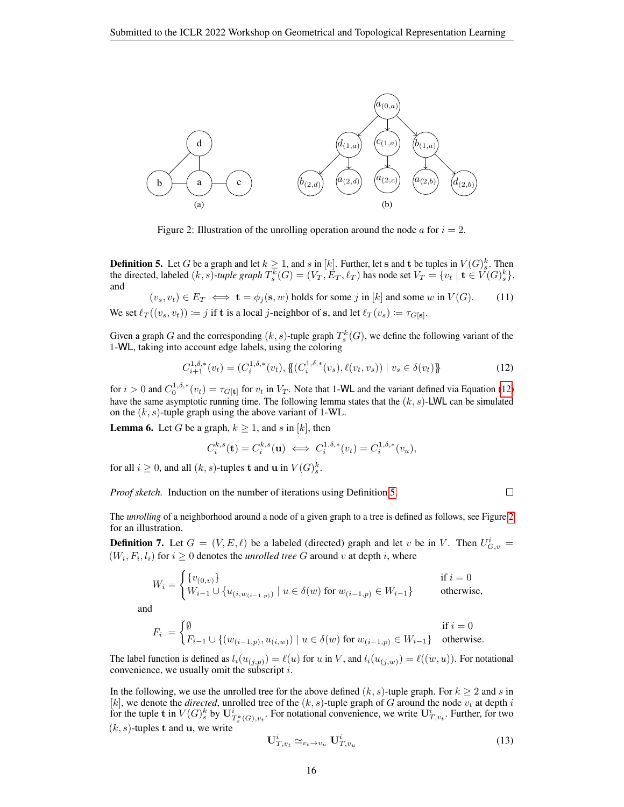<span id="page-15-1"></span>

Figure 2: Illustration of the unrolling operation around the node  $a$  for  $i = 2$ .

**Definition 5.** Let G be a graph and let  $k \ge 1$ , and s in [k]. Further, let s and t be tuples in  $V(G)_{s}^{k}$ . Then the directed, labeled  $(k, s)$ -tuple graph  $T_s^k(G) = (V_T, E_T, \ell_T)$  has node set  $V_T = \{v_t \mid t \in V(G)_{s}^k\},$ and

 $(v_s, v_t) \in E_T \iff \mathbf{t} = \phi_i(\mathbf{s}, w)$  holds for some j in [k] and some w in  $V(G)$ . (11) We set  $\ell_T((v_s, v_t)) \coloneqq j$  if t is a local *j*-neighbor of s, and let  $\ell_T (v_s) \coloneqq \tau_{G[\mathbf{s}]}$ .

Given a graph G and the corresponding  $(k, s)$ -tuple graph  $T_s^k(G)$ , we define the following variant of the 1-WL, taking into account edge labels, using the coloring

<span id="page-15-0"></span>
$$
C_{i+1}^{1,\delta,*}(v_t) = (C_i^{1,\delta,*}(v_t), \{ (C_i^{1,\delta,*}(v_s), \ell(v_t, v_s)) \mid v_s \in \delta(v_t) \}
$$
(12)

for  $i > 0$  and  $C_0^{1,\delta,*}(v_t) = \tau_{G[\mathbf{t}]}$  for  $v_t$  in  $V_T$ . Note that 1-WL and the variant defined via Equation [\(12\)](#page-15-0) have the same asymptotic running time. The following lemma states that the  $(k, s)$ -LWL can be simulated on the  $(k, s)$ -tuple graph using the above variant of 1-WL.

<span id="page-15-2"></span>**Lemma 6.** Let G be a graph,  $k \ge 1$ , and s in [k], then

$$
C_i^{k,s}(\mathbf{t}) = C_i^{k,s}(\mathbf{u}) \iff C_i^{1,\delta,*}(v_t) = C_i^{1,\delta,*}(v_u),
$$

for all  $i \geq 0$ , and all  $(k, s)$ -tuples **t** and **u** in  $V(G)_s^k$ .

*Proof sketch.* Induction on the number of iterations using Definition [5.](#page-14-1)

 $\Box$ 

The *unrolling* of a neighborhood around a node of a given graph to a tree is defined as follows, see Figure [2](#page-15-1) for an illustration.

**Definition 7.** Let  $G = (V, E, \ell)$  be a labeled (directed) graph and let v be in V. Then  $U_{G,v}^i$  =  $(W_i, F_i, l_i)$  for  $i \geq 0$  denotes the *unrolled tree* G around v at depth i, where

$$
W_i = \begin{cases} \{v_{(0,v)}\} & \text{if } i = 0\\ W_{i-1} \cup \{u_{(i,w_{(i-1,p)})} \mid u \in \delta(w) \text{ for } w_{(i-1,p)} \in W_{i-1}\} & \text{otherwise,} \end{cases}
$$

and

$$
F_i \ = \begin{cases} \emptyset & \text{if } i=0 \\ F_{i-1} \cup \{(w_{(i-1,p)}, u_{(i,w)}) \mid u \in \delta(w) \text{ for } w_{(i-1,p)} \in W_{i-1}\} & \text{otherwise.} \end{cases}
$$

The label function is defined as  $l_i(u_{(j,p)}) = \ell(u)$  for u in V, and  $l_i(u_{(j,w)}) = \ell((w, u))$ . For notational convenience, we usually omit the subscript  $i$ .

In the following, we use the unrolled tree for the above defined  $(k, s)$ -tuple graph. For  $k \geq 2$  and s in [k], we denote the *directed*, unrolled tree of the  $(k, s)$ -tuple graph of G around the node  $v_t$  at depth i for the tuple t in  $V(G)_s^k$  by  $\mathbf{U}^i_{T^k_s(G),v_t}$ . For notational convenience, we write  $\mathbf{U}^i_{T,v_t}$ . Further, for two  $(k, s)$ -tuples t and u, we write

$$
\mathbf{U}_{T,v_t}^i \simeq_{v_t \to v_u} \mathbf{U}_{T,v_u}^i \tag{13}
$$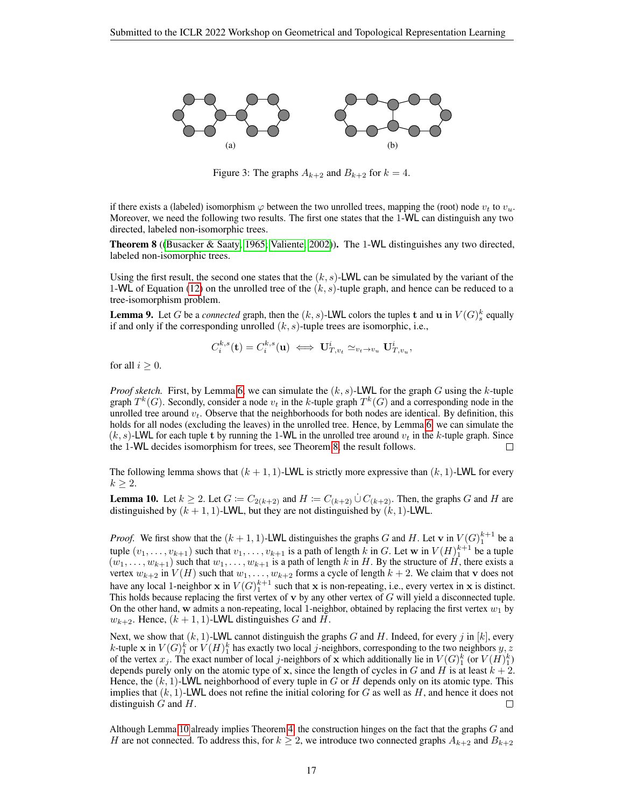<span id="page-16-2"></span>

Figure 3: The graphs  $A_{k+2}$  and  $B_{k+2}$  for  $k = 4$ .

if there exists a (labeled) isomorphism  $\varphi$  between the two unrolled trees, mapping the (root) node  $v_t$  to  $v_u$ . Moreover, we need the following two results. The first one states that the 1-WL can distinguish any two directed, labeled non-isomorphic trees.

<span id="page-16-0"></span>Theorem 8 ([\(Busacker & Saaty, 1965;](#page-5-14) [Valiente, 2002\)](#page-9-13)). The 1-WL distinguishes any two directed, labeled non-isomorphic trees.

Using the first result, the second one states that the  $(k, s)$ -LWL can be simulated by the variant of the 1-WL of Equation [\(12\)](#page-15-0) on the unrolled tree of the  $(k, s)$ -tuple graph, and hence can be reduced to a tree-isomorphism problem.

<span id="page-16-3"></span>**Lemma 9.** Let G be a *connected* graph, then the  $(k, s)$ -LWL colors the tuples **t** and **u** in  $V(G)_{s}^{k}$  equally if and only if the corresponding unrolled  $(k, s)$ -tuple trees are isomorphic, i.e.,

$$
C_i^{k,s}(\mathbf{t}) = C_i^{k,s}(\mathbf{u}) \iff \mathbf{U}_{T,v_t}^i \simeq_{v_t \to v_u} \mathbf{U}_{T,v_u}^i,
$$

for all  $i \geq 0$ .

*Proof sketch.* First, by Lemma [6,](#page-15-2) we can simulate the  $(k, s)$ -LWL for the graph G using the k-tuple graph  $T^k(G)$ . Secondly, consider a node  $v_t$  in the k-tuple graph  $T^k(G)$  and a corresponding node in the unrolled tree around  $v_t$ . Observe that the neighborhoods for both nodes are identical. By definition, this holds for all nodes (excluding the leaves) in the unrolled tree. Hence, by Lemma [6,](#page-15-2) we can simulate the  $(k, s)$ -LWL for each tuple t by running the 1-WL in the unrolled tree around  $v_t$  in the k-tuple graph. Since the 1-WL decides isomorphism for trees, see Theorem 8, the result follows. the 1-WL decides isomorphism for trees, see Theorem [8,](#page-16-0) the result follows.

The following lemma shows that  $(k + 1, 1)$ -LWL is strictly more expressive than  $(k, 1)$ -LWL for every  $k \geq 2$ .

<span id="page-16-1"></span>**Lemma 10.** Let  $k \geq 2$ . Let  $G := C_{2(k+2)}$  and  $H := C_{(k+2)} \cup C_{(k+2)}$ . Then, the graphs G and H are distinguished by  $(k + 1, 1)$ -LWL, but they are not distinguished by  $(k, 1)$ -LWL.

*Proof.* We first show that the  $(k + 1, 1)$ -LWL distinguishes the graphs G and H. Let v in  $V(G)_{1}^{k+1}$  be a tuple  $(v_1, \ldots, v_{k+1})$  such that  $v_1, \ldots, v_{k+1}$  is a path of length k in G. Let w in  $V(H)_1^{k+1}$  be a tuple  $(w_1, \ldots, w_{k+1})$  such that  $w_1, \ldots, w_{k+1}$  is a path of length k in H. By the structure of H, there exists a vertex  $w_{k+2}$  in  $V(H)$  such that  $w_1, \ldots, w_{k+2}$  forms a cycle of length  $k+2$ . We claim that v does not have any local 1-neighbor  $x$  in  $V(G)_1^{k+1}$  such that  $x$  is non-repeating, i.e., every vertex in  $x$  is distinct. This holds because replacing the first vertex of  $\bf{v}$  by any other vertex of  $\bf{G}$  will yield a disconnected tuple. On the other hand, w admits a non-repeating, local 1-neighbor, obtained by replacing the first vertex  $w_1$  by  $w_{k+2}$ . Hence,  $(k+1, 1)$ -LWL distinguishes G and H.

Next, we show that  $(k, 1)$ -LWL cannot distinguish the graphs G and H. Indeed, for every j in  $[k]$ , every k-tuple x in  $V(G)_1^k$  or  $V(H)_1^k$  has exactly two local *j*-neighbors, corresponding to the two neighbors  $y, z$ of the vertex  $x_j$ . The exact number of local j-neighbors of x which additionally lie in  $V(G)_1^k$  (or  $V(H)_1^k$ ) depends purely only on the atomic type of x, since the length of cycles in G and H is at least  $k + 2$ . Hence, the  $(k, 1)$ -LWL neighborhood of every tuple in G or H depends only on its atomic type. This implies that  $(k, 1)$ -LWL does not refine the initial coloring for G as well as H, and hence it does not distinguish  $G$  and  $H$ .  $\Box$ 

Although Lemma [10](#page-16-1) already implies Theorem [4,](#page-14-0) the construction hinges on the fact that the graphs G and H are not connected. To address this, for  $k \geq 2$ , we introduce two connected graphs  $A_{k+2}$  and  $B_{k+2}$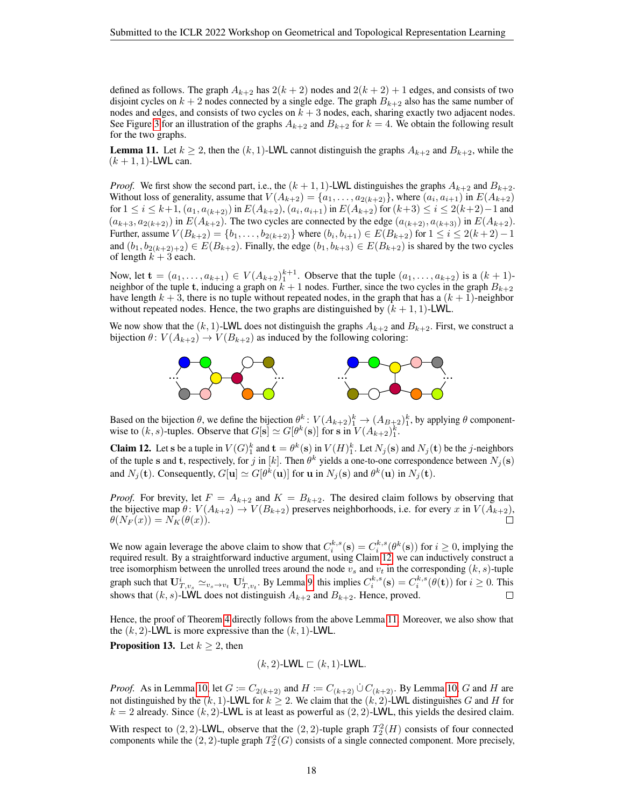defined as follows. The graph  $A_{k+2}$  has  $2(k+2)$  nodes and  $2(k+2)+1$  edges, and consists of two disjoint cycles on  $k + 2$  nodes connected by a single edge. The graph  $B_{k+2}$  also has the same number of nodes and edges, and consists of two cycles on  $k + 3$  nodes, each, sharing exactly two adjacent nodes. See Figure [3](#page-16-2) for an illustration of the graphs  $A_{k+2}$  and  $B_{k+2}$  for  $k = 4$ . We obtain the following result for the two graphs.

<span id="page-17-1"></span>**Lemma 11.** Let  $k \geq 2$ , then the  $(k, 1)$ -LWL cannot distinguish the graphs  $A_{k+2}$  and  $B_{k+2}$ , while the  $(k + 1, 1)$ -LWL can.

*Proof.* We first show the second part, i.e., the  $(k + 1, 1)$ -LWL distinguishes the graphs  $A_{k+2}$  and  $B_{k+2}$ . Without loss of generality, assume that  $V(A_{k+2}) = \{a_1, \ldots, a_{2(k+2)}\}$ , where  $(a_i, a_{i+1})$  in  $E(A_{k+2})$ for  $1 \le i \le k+1$ ,  $(a_1, a_{(k+2)})$  in  $E(A_{k+2})$ ,  $(a_i, a_{i+1})$  in  $E(A_{k+2})$  for  $(k+3) \le i \le 2(k+2)-1$  and  $(a_{k+3}, a_{2(k+2)})$  in  $E(A_{k+2})$ . The two cycles are connected by the edge  $(a_{k+2}, a_{k+3})$  in  $E(A_{k+2})$ . Further, assume  $V(B_{k+2}) = \{b_1, \ldots, b_{2(k+2)}\}$  where  $(b_i, b_{i+1}) \in E(B_{k+2})$  for  $1 \le i \le 2(k+2)-1$ and  $(b_1, b_{2(k+2)+2}) \in E(B_{k+2})$ . Finally, the edge  $(b_1, b_{k+3}) \in E(B_{k+2})$  is shared by the two cycles of length  $k + 3$  each.

Now, let  $\mathbf{t} = (a_1, \dots, a_{k+1}) \in V(A_{k+2})_1^{k+1}$ . Observe that the tuple  $(a_1, \dots, a_{k+2})$  is a  $(k+1)$ neighbor of the tuple t, inducing a graph on  $k + 1$  nodes. Further, since the two cycles in the graph  $B_{k+2}$ have length  $k + 3$ , there is no tuple without repeated nodes, in the graph that has a  $(k + 1)$ -neighbor without repeated nodes. Hence, the two graphs are distinguished by  $(k + 1, 1)$ -LWL.

We now show that the  $(k, 1)$ -LWL does not distinguish the graphs  $A_{k+2}$  and  $B_{k+2}$ . First, we construct a bijection  $\theta$ :  $V(A_{k+2}) \rightarrow V(B_{k+2})$  as induced by the following coloring:



Based on the bijection  $\theta$ , we define the bijection  $\theta^k: V(A_{k+2})_1^k \to (A_{B+2})_1^k$ , by applying  $\theta$  componentwise to  $(k, s)$ -tuples. Observe that  $G[s] \simeq G[\theta^k(s)]$  for s in  $V(A_{k+2})^k_1$ .

<span id="page-17-0"></span>**Claim 12.** Let s be a tuple in  $V(G)_1^k$  and  $\mathbf{t} = \theta^k(\mathbf{s})$  in  $V(H)_1^k$ . Let  $N_j(\mathbf{s})$  and  $N_j(\mathbf{t})$  be the j-neighbors of the tuple s and t, respectively, for j in [k]. Then  $\theta^k$  yields a one-to-one correspondence between  $N_j(\mathbf{s})$ and  $N_j(\mathbf{t})$ . Consequently,  $G[\mathbf{u}] \simeq G[\theta^k(\mathbf{u})]$  for  $\mathbf{u}$  in  $N_j(\mathbf{s})$  and  $\theta^k(\mathbf{u})$  in  $N_j(\mathbf{t})$ .

*Proof.* For brevity, let  $F = A_{k+2}$  and  $K = B_{k+2}$ . The desired claim follows by observing that the bijective map  $\theta$ :  $V(A_{k+2}) \to V(B_{k+2})$  preserves neighborhoods, i.e. for every x in  $V(A_{k+2})$ ,<br> $\theta(N_F(x)) = N_K(\theta(x))$ .  $\theta(N_F(x)) = N_K(\theta(x)).$ 

We now again leverage the above claim to show that  $C_i^{k,s}(\mathbf{s}) = C_i^{k,s}(\theta^k(\mathbf{s}))$  for  $i \ge 0$ , implying the required result. By a straightforward inductive argument, using Claim [12,](#page-17-0) we can inductively construct a tree isomorphism between the unrolled trees around the node  $v_s$  and  $v_t$  in the corresponding  $(k, s)$ -tuple graph such that  $\mathbf{U}_{T,v_s}^i \simeq_{v_s \to v_t} \mathbf{U}_{T,v_t}^i$ . By Lemma [9,](#page-16-3) this implies  $C_i^{k,s}(\mathbf{s}) = C_i^{k,s}(\theta(\mathbf{t}))$  for  $i \geq 0$ . This shows that  $(k, s)$ -LWL does not distinguish  $A_{k+2}$  and  $B_{k+2}$ . Hence, proved. П

Hence, the proof of Theorem [4](#page-14-0) directly follows from the above Lemma [11.](#page-17-1) Moreover, we also show that the  $(k, 2)$ -LWL is more expressive than the  $(k, 1)$ -LWL.

**Proposition 13.** Let  $k \geq 2$ , then

$$
(k,2)\text{-LWL} \sqsubset (k,1)\text{-LWL}.
$$

*Proof.* As in Lemma [10,](#page-16-1) let  $G := C_{2(k+2)}$  and  $H := C_{(k+2)} \cup C_{(k+2)}$ . By Lemma 10, G and H are not distinguished by the  $(k, 1)$ -LWL for  $k \ge 2$ . We claim that the  $(k, 2)$ -LWL distinguishes G and H for  $k = 2$  already. Since  $(k, 2)$ -LWL is at least as powerful as  $(2, 2)$ -LWL, this yields the desired claim.

With respect to  $(2, 2)$ -LWL, observe that the  $(2, 2)$ -tuple graph  $T_2^2(H)$  consists of four connected components while the  $(2, 2)$ -tuple graph  $T_2^2(G)$  consists of a single connected component. More precisely,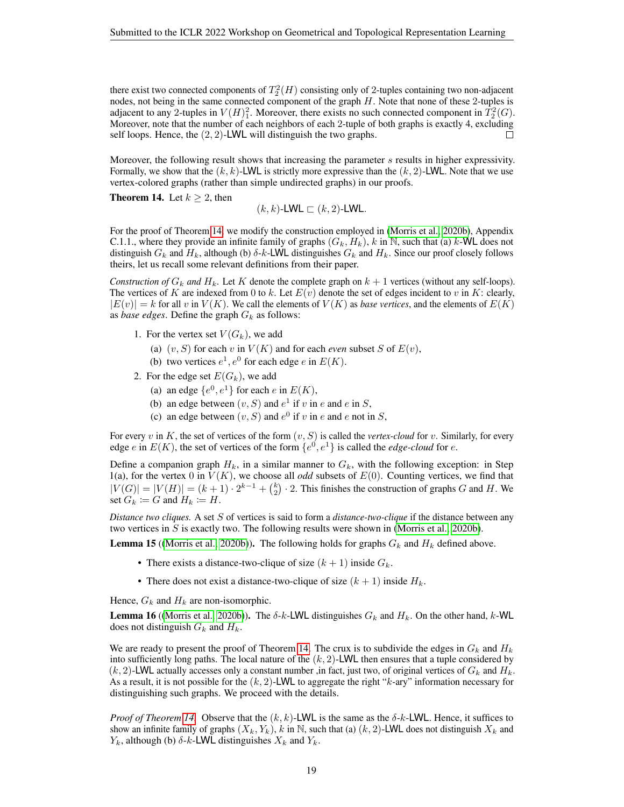there exist two connected components of  $T_2^2(H)$  consisting only of 2-tuples containing two non-adjacent nodes, not being in the same connected component of the graph H. Note that none of these 2-tuples is adjacent to any 2-tuples in  $V(H)_1^2$ . Moreover, there exists no such connected component in  $\overline{T}_2^2(G)$ . Moreover, note that the number of each neighbors of each 2-tuple of both graphs is exactly 4, excluding self loops. Hence, the  $(2, 2)$ -LWL will distinguish the two graphs.  $\Box$ 

Moreover, the following result shows that increasing the parameter s results in higher expressivity. Formally, we show that the  $(k, k)$ -LWL is strictly more expressive than the  $(k, 2)$ -LWL. Note that we use vertex-colored graphs (rather than simple undirected graphs) in our proofs.

<span id="page-18-0"></span>**Theorem 14.** Let  $k \geq 2$ , then

 $(k, k)$ -LWL  $\sqsubset (k, 2)$ -LWL.

For the proof of Theorem [14,](#page-18-0) we modify the construction employed in [\(Morris et al., 2020b\)](#page-8-2), Appendix C.1.1., where they provide an infinite family of graphs  $(G_k, H_k)$ , k in N, such that (a) k-WL does not distinguish  $G_k$  and  $H_k$ , although (b)  $\delta$ -k-LWL distinguishes  $G_k$  and  $H_k$ . Since our proof closely follows theirs, let us recall some relevant definitions from their paper.

*Construction of*  $G_k$  *and*  $H_k$ . Let K denote the complete graph on  $k + 1$  vertices (without any self-loops). The vertices of K are indexed from 0 to k. Let  $E(v)$  denote the set of edges incident to v in K: clearly,  $|E(v)| = k$  for all v in  $V(K)$ . We call the elements of  $V(K)$  as *base vertices*, and the elements of  $E(K)$ as *base edges*. Define the graph  $G_k$  as follows:

- 1. For the vertex set  $V(G_k)$ , we add
	- (a)  $(v, S)$  for each v in  $V(K)$  and for each *even* subset S of  $E(v)$ ,
	- (b) two vertices  $e^1, e^0$  for each edge e in  $E(K)$ .
- 2. For the edge set  $E(G_k)$ , we add
	- (a) an edge  $\{e^0, e^1\}$  for each e in  $E(K)$ ,
	- (b) an edge between  $(v, S)$  and  $e<sup>1</sup>$  if v in e and e in S,
	- (c) an edge between  $(v, S)$  and  $e^0$  if v in e and e not in S,

For every  $v$  in  $K$ , the set of vertices of the form  $(v, S)$  is called the *vertex-cloud* for  $v$ . Similarly, for every edge *e* in  $E(K)$ , the set of vertices of the form  $\{e^0, e^1\}$  is called the *edge-cloud* for *e*.

Define a companion graph  $H_k$ , in a similar manner to  $G_k$ , with the following exception: in Step 1(a), for the vertex 0 in  $V(K)$ , we choose all *odd* subsets of  $E(0)$ . Counting vertices, we find that  $|V(G)| = |V(H)| = (k+1) \cdot 2^{k-1} + {k \choose 2} \cdot 2$ . This finishes the construction of graphs G and H. We set  $G_k := G$  and  $H_k := H$ .

*Distance two cliques.* A set S of vertices is said to form a *distance-two-clique* if the distance between any two vertices in S is exactly two. The following results were shown in [\(Morris et al., 2020b\)](#page-8-2).

**Lemma 15** ([\(Morris et al., 2020b\)](#page-8-2)). The following holds for graphs  $G_k$  and  $H_k$  defined above.

- There exists a distance-two-clique of size  $(k + 1)$  inside  $G_k$ .
- There does not exist a distance-two-clique of size  $(k + 1)$  inside  $H_k$ .

Hence,  $G_k$  and  $H_k$  are non-isomorphic.

<span id="page-18-1"></span>**Lemma 16** ([\(Morris et al., 2020b\)](#page-8-2)). The  $\delta$ -k-LWL distinguishes  $G_k$  and  $H_k$ . On the other hand, k-WL does not distinguish  $G_k$  and  $H_k$ .

We are ready to present the proof of Theorem [14.](#page-18-0) The crux is to subdivide the edges in  $G_k$  and  $H_k$ into sufficiently long paths. The local nature of the  $(k, 2)$ -LWL then ensures that a tuple considered by  $(k, 2)$ -LWL actually accesses only a constant number ,in fact, just two, of original vertices of  $G_k$  and  $H_k$ . As a result, it is not possible for the  $(k, 2)$ -LWL to aggregate the right "k-ary" information necessary for distinguishing such graphs. We proceed with the details.

*Proof of Theorem [14.](#page-18-0)* Observe that the  $(k, k)$ -LWL is the same as the  $\delta$ -k-LWL. Hence, it suffices to show an infinite family of graphs  $(X_k, Y_k)$ , k in N, such that (a)  $(k, 2)$ -LWL does not distinguish  $X_k$  and  $Y_k$ , although (b)  $\delta$ -k-LWL distinguishes  $X_k$  and  $Y_k$ .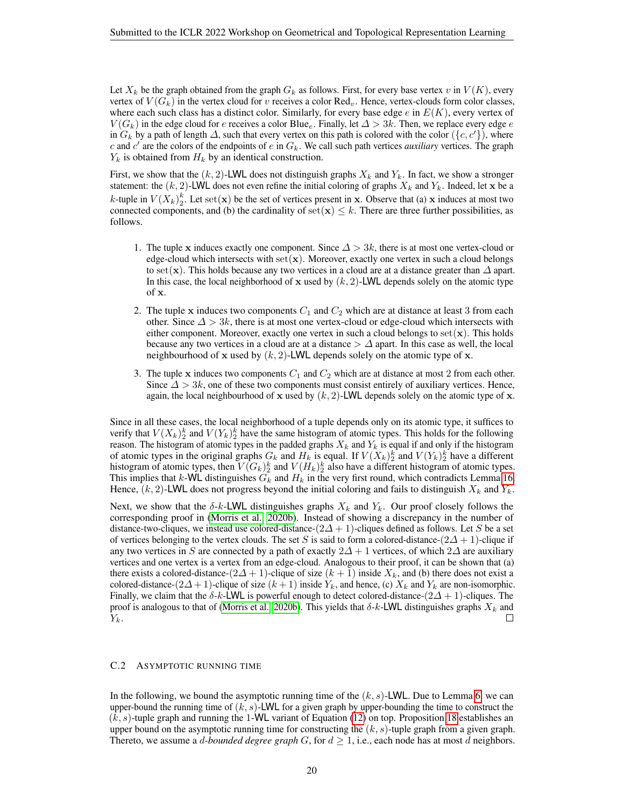Let  $X_k$  be the graph obtained from the graph  $G_k$  as follows. First, for every base vertex v in  $V(K)$ , every vertex of  $V(G_k)$  in the vertex cloud for v receives a color  $\text{Red}_{v}$ . Hence, vertex-clouds form color classes, where each such class has a distinct color. Similarly, for every base edge  $e$  in  $E(K)$ , every vertex of  $V(G_k)$  in the edge cloud for e receives a color Blue<sub>e</sub>. Finally, let  $\Delta > 3k$ . Then, we replace every edge e in  $G_k$  by a path of length  $\Delta$ , such that every vertex on this path is colored with the color  $(\{c, c'\})$ , where c and  $c'$  are the colors of the endpoints of e in  $G_k$ . We call such path vertices *auxiliary* vertices. The graph  $Y_k$  is obtained from  $H_k$  by an identical construction.

First, we show that the  $(k, 2)$ -LWL does not distinguish graphs  $X_k$  and  $Y_k$ . In fact, we show a stronger statement: the  $(k, 2)$ -LWL does not even refine the initial coloring of graphs  $X_k$  and  $Y_k$ . Indeed, let x be a k-tuple in  $V(X_k)_2^k$ . Let set $(\mathbf{x})$  be the set of vertices present in x. Observe that (a) x induces at most two connected components, and (b) the cardinality of set( $\mathbf{x}$ )  $\leq k$ . There are three further possibilities, as follows.

- 1. The tuple x induces exactly one component. Since  $\Delta > 3k$ , there is at most one vertex-cloud or edge-cloud which intersects with  $set(x)$ . Moreover, exactly one vertex in such a cloud belongs to set(x). This holds because any two vertices in a cloud are at a distance greater than  $\Delta$  apart. In this case, the local neighborhood of x used by  $(k, 2)$ -LWL depends solely on the atomic type of x.
- 2. The tuple x induces two components  $C_1$  and  $C_2$  which are at distance at least 3 from each other. Since  $\Delta > 3k$ , there is at most one vertex-cloud or edge-cloud which intersects with either component. Moreover, exactly one vertex in such a cloud belongs to  $set(\mathbf{x})$ . This holds because any two vertices in a cloud are at a distance  $\geq \Delta$  apart. In this case as well, the local neighbourhood of x used by  $(k, 2)$ -LWL depends solely on the atomic type of x.
- 3. The tuple x induces two components  $C_1$  and  $C_2$  which are at distance at most 2 from each other. Since  $\Delta > 3k$ , one of these two components must consist entirely of auxiliary vertices. Hence, again, the local neighbourhood of x used by  $(k, 2)$ -LWL depends solely on the atomic type of x.

Since in all these cases, the local neighborhood of a tuple depends only on its atomic type, it suffices to verify that  $V(X_k)_2^k$  and  $V(Y_k)_2^k$  have the same histogram of atomic types. This holds for the following reason. The histogram of atomic types in the padded graphs  $X_k$  and  $Y_k$  is equal if and only if the histogram of atomic types in the original graphs  $G_k$  and  $H_k$  is equal. If  $V(X_k)_2^k$  and  $V(Y_k)_2^k$  have a different histogram of atomic types, then  $V(G_k)_2^k$  and  $V(H_k)_2^k$  also have a different histogram of atomic types. This implies that k-WL distinguishes  $G_k$  and  $H_k$  in the very first round, which contradicts Lemma [16.](#page-18-1) Hence,  $(k, 2)$ -LWL does not progress beyond the initial coloring and fails to distinguish  $X_k$  and  $Y_k$ .

Next, we show that the  $\delta$ -k-LWL distinguishes graphs  $X_k$  and  $Y_k$ . Our proof closely follows the corresponding proof in [\(Morris et al., 2020b\)](#page-8-2). Instead of showing a discrepancy in the number of distance-two-cliques, we instead use colored-distance-( $2\Delta+1$ )-cliques defined as follows. Let S be a set of vertices belonging to the vertex clouds. The set S is said to form a colored-distance- $(2\Delta + 1)$ -clique if any two vertices in S are connected by a path of exactly  $2\Delta + 1$  vertices, of which  $2\Delta$  are auxiliary vertices and one vertex is a vertex from an edge-cloud. Analogous to their proof, it can be shown that (a) there exists a colored-distance- $(2\Delta + 1)$ -clique of size  $(k + 1)$  inside  $X_k$ , and (b) there does not exist a colored-distance- $(2\Delta + 1)$ -clique of size  $(k + 1)$  inside  $Y_k$ , and hence, (c)  $X_k$  and  $Y_k$  are non-isomorphic. Finally, we claim that the  $\delta$ -k-LWL is powerful enough to detect colored-distance- $(2\Delta + 1)$ -cliques. The proof is analogous to that of [\(Morris et al., 2020b\)](#page-8-2). This yields that  $\delta$ -k-LWL distinguishes graphs  $X_k$  and  $Y_k$ . □

#### <span id="page-19-0"></span>C.2 ASYMPTOTIC RUNNING TIME

In the following, we bound the asymptotic running time of the  $(k, s)$ -LWL. Due to Lemma [6,](#page-15-2) we can upper-bound the running time of  $(k, s)$ -LWL for a given graph by upper-bounding the time to construct the  $(k, s)$ -tuple graph and running the 1-WL variant of Equation [\(12\)](#page-15-0) on top. Proposition [18](#page-20-1) establishes an upper bound on the asymptotic running time for constructing the  $(k, s)$ -tuple graph from a given graph. Thereto, we assume a *d-bounded degree graph*  $G$ , for  $d \geq 1$ , i.e., each node has at most d neighbors.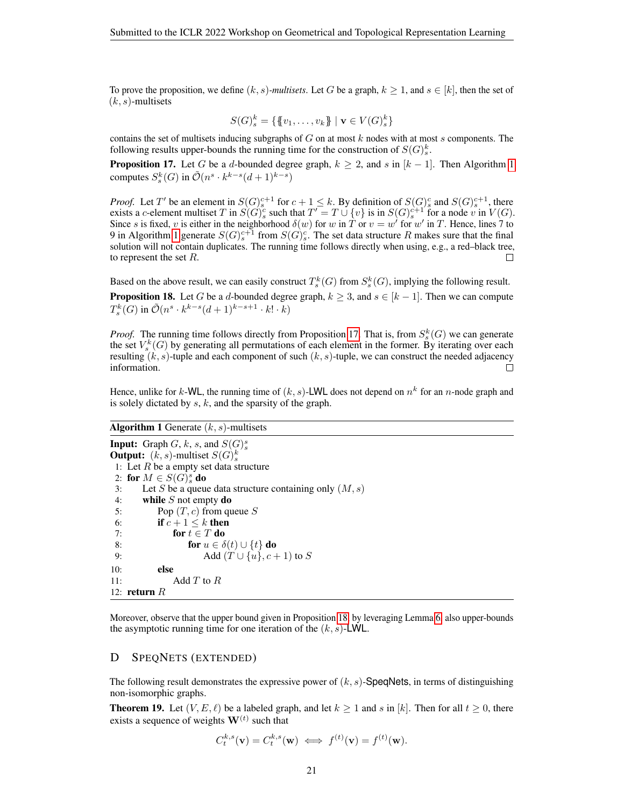To prove the proposition, we define  $(k, s)$ -multisets. Let G be a graph,  $k \ge 1$ , and  $s \in [k]$ , then the set of  $(k, s)$ -multisets

$$
S(G)_{s}^{k} = \{\{\!\{v_{1}, \ldots, v_{k}\}\!\} \mid \mathbf{v} \in V(G)_{s}^{k}\}\
$$

contains the set of multisets inducing subgraphs of  $G$  on at most  $k$  nodes with at most  $s$  components. The following results upper-bounds the running time for the construction of  $S(G)_{s}^{k}$ .

<span id="page-20-3"></span>**Proposition [1](#page-20-2)7.** Let G be a d-bounded degree graph,  $k \ge 2$ , and s in  $[k-1]$ . Then Algorithm 1 computes  $S_s^k(G)$  in  $\tilde{\mathcal{O}}(n^s \cdot k^{k-s}(d+1)^{k-s})$ 

*Proof.* Let T' be an element in  $S(G)_{s}^{c+1}$  for  $c+1 \leq k$ . By definition of  $S(G)_{s}^{c}$  and  $S(G)_{s}^{c+1}$ , there exists a c-element multiset T in  $S(G)_{s}^{c}$  such that  $T' = T \cup \{v\}$  is in  $S(G)_{s}^{c+1}$  for a node v in  $V(G)$ . Since s is fixed, v is either in the neighborhood  $\delta(w)$  for w in  $\tilde{T}$  or  $v = w'$  for w' in T. Hence, lines  $\tilde{7}$  to 9 in Algorithm [1](#page-20-2) generate  $S(G)^{c+1}_s$  from  $S(G)^c_s$ . The set data structure R makes sure that the final solution will not contain duplicates. The running time follows directly when using, e.g., a red–black tree, to represent the set  $R$ .  $\Box$ 

<span id="page-20-1"></span>Based on the above result, we can easily construct  $T_s^k(G)$  from  $S_s^k(G)$ , implying the following result. **Proposition 18.** Let G be a d-bounded degree graph,  $k \geq 3$ , and  $s \in [k-1]$ . Then we can compute  $T^{k}_s(G)$  in  $\tilde{\mathcal{O}}(n^s \cdot k^{k-s}(d+1)^{k-s+1} \cdot k! \cdot k)$ 

*Proof.* The running time follows directly from Proposition [17.](#page-20-3) That is, from  $S_s^k(G)$  we can generate the set  $V_s^k(G)$  by generating all permutations of each element in the former. By iterating over each resulting  $(k, s)$ -tuple and each component of such  $(k, s)$ -tuple, we can construct the needed adjacency information.  $\Box$ 

Hence, unlike for k-WL, the running time of  $(k, s)$ -LWL does not depend on  $n^k$  for an n-node graph and is solely dictated by  $s, k$ , and the sparsity of the graph.

### <span id="page-20-2"></span>**Algorithm 1** Generate  $(k, s)$ -multisets

**Input:** Graph  $G$ ,  $k$ ,  $s$ , and  $S(G)_{s}^{s}$ **Output:**  $(k, s)$ -multiset  $S(G)_{s}^{k}$ 1: Let  $R$  be a empty set data structure 2: for  $M \in S(G)_{s}^{s}$  do 3: Let S be a queue data structure containing only  $(M, s)$ 4: while  $S$  not empty do 5: Pop  $(T, c)$  from queue S 6: if  $c+1 \leq k$  then 7: for  $t \in T$  do 8: for  $u \in \delta(t) \cup \{t\}$  do 9: Add  $(T \cup \{u\}, c + 1)$  to S 10: else 11: Add  $T$  to  $R$ 12: return  $R$ 

Moreover, observe that the upper bound given in Proposition [18,](#page-20-1) by leveraging Lemma [6,](#page-15-2) also upper-bounds the asymptotic running time for one iteration of the  $(k, s)$ -LWL.

### <span id="page-20-0"></span>D SPEQNETS (EXTENDED)

The following result demonstrates the expressive power of  $(k, s)$ -SpeqNets, in terms of distinguishing non-isomorphic graphs.

**Theorem 19.** Let  $(V, E, \ell)$  be a labeled graph, and let  $k \ge 1$  and s in [k]. Then for all  $t \ge 0$ , there exists a sequence of weights  $W^{(t)}$  such that

$$
C_t^{k,s}(\mathbf{v}) = C_t^{k,s}(\mathbf{w}) \iff f^{(t)}(\mathbf{v}) = f^{(t)}(\mathbf{w}).
$$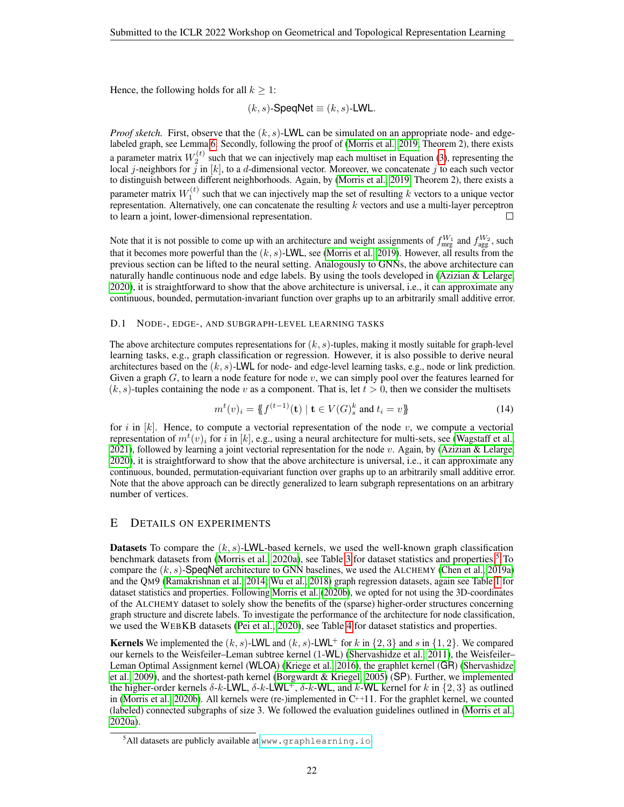Hence, the following holds for all  $k \geq 1$ :

$$
(k, s)
$$
-SpeedNet  $\equiv$   $(k, s)$ -LWL.

*Proof sketch.* First, observe that the  $(k, s)$ -LWL can be simulated on an appropriate node- and edgelabeled graph, see Lemma [6.](#page-15-2) Secondly, following the proof of [\(Morris et al., 2019,](#page-8-1) Theorem 2), there exists a parameter matrix  $W_2^{(t)}$  such that we can injectively map each multiset in Equation [\(3\)](#page-2-0), representing the local j-neighbors for  $\hat{j}$  in [k], to a d-dimensional vector. Moreover, we concatenate j to each such vector to distinguish between different neighborhoods. Again, by [\(Morris et al., 2019,](#page-8-1) Theorem 2), there exists a parameter matrix  $W_1^{(t)}$  such that we can injectively map the set of resulting k vectors to a unique vector representation. Alternatively, one can concatenate the resulting  $k$  vectors and use a multi-layer perceptron to learn a joint, lower-dimensional representation. П

Note that it is not possible to come up with an architecture and weight assignments of  $f_{\text{mrg}}^{W_1}$  and  $f_{\text{agg}}^{W_2}$ , such that it becomes more powerful than the  $(k, s)$ -LWL, see [\(Morris et al., 2019\)](#page-8-1). However, all results from the previous section can be lifted to the neural setting. Analogously to GNNs, the above architecture can naturally handle continuous node and edge labels. By using the tools developed in [\(Azizian & Lelarge,](#page-4-3) [2020\)](#page-4-3), it is straightforward to show that the above architecture is universal, i.e., it can approximate any continuous, bounded, permutation-invariant function over graphs up to an arbitrarily small additive error.

#### D.1 NODE-, EDGE-, AND SUBGRAPH-LEVEL LEARNING TASKS

The above architecture computes representations for  $(k, s)$ -tuples, making it mostly suitable for graph-level learning tasks, e.g., graph classification or regression. However, it is also possible to derive neural architectures based on the  $(k, s)$ -LWL for node- and edge-level learning tasks, e.g., node or link prediction. Given a graph  $G$ , to learn a node feature for node  $v$ , we can simply pool over the features learned for  $(k, s)$ -tuples containing the node v as a component. That is, let  $t > 0$ , then we consider the multisets

<span id="page-21-1"></span>
$$
m^{t}(v)_{i} = \{ f^{(t-1)}(\mathbf{t}) \mid \mathbf{t} \in V(G)_{s}^{k} \text{ and } t_{i} = v \}
$$
\n(14)

for i in  $[k]$ . Hence, to compute a vectorial representation of the node v, we compute a vectorial representation of  $m^t(v)_i$  for  $i$  in [k], e.g., using a neural architecture for multi-sets, see [\(Wagstaff et al.,](#page-9-14) [2021\)](#page-9-14), followed by learning a joint vectorial representation for the node v. Again, by [\(Azizian & Lelarge,](#page-4-3) [2020\)](#page-4-3), it is straightforward to show that the above architecture is universal, i.e., it can approximate any continuous, bounded, permutation-equivariant function over graphs up to an arbitrarily small additive error. Note that the above approach can be directly generalized to learn subgraph representations on an arbitrary number of vertices.

# <span id="page-21-0"></span>E DETAILS ON EXPERIMENTS

**Datasets** To compare the  $(k, s)$ -LWL-based kernels, we used the well-known graph classification benchmark datasets from [\(Morris et al., 2020a\)](#page-8-4), see Table [3](#page-23-1) for dataset statistics and properties.<sup>[5](#page-0-0)</sup> To compare the  $(k, s)$ -SpeqNet architecture to GNN baselines, we used the ALCHEMY [\(Chen et al., 2019a\)](#page-5-15) and the QM9 [\(Ramakrishnan et al., 2014;](#page-8-17) [Wu et al., 2018\)](#page-9-15) graph regression datasets, again see Table [1](#page-3-0) for dataset statistics and properties. Following [Morris et al.](#page-8-2) [\(2020b\)](#page-8-2), we opted for not using the 3D-coordinates of the ALCHEMY dataset to solely show the benefits of the (sparse) higher-order structures concerning graph structure and discrete labels. To investigate the performance of the architecture for node classification, we used the WEBKB datasets [\(Pei et al., 2020\)](#page-8-18), see Table [4](#page-23-2) for dataset statistics and properties.

**Kernels** We implemented the  $(k, s)$ -LWL and  $(k, s)$ -LWL+ for k in  $\{2, 3\}$  and s in  $\{1, 2\}$ . We compared our kernels to the Weisfeiler–Leman subtree kernel (1-WL) [\(Shervashidze et al., 2011\)](#page-8-3), the Weisfeiler– Leman Optimal Assignment kernel (WLOA) [\(Kriege et al., 2016\)](#page-7-4), the graphlet kernel (GR) [\(Shervashidze](#page-8-5) [et al., 2009\)](#page-8-5), and the shortest-path kernel [\(Borgwardt & Kriegel, 2005\)](#page-4-1) (SP). Further, we implemented the higher-order kernels  $\delta$ -k-LWL,  $\delta$ -k-LWL+,  $\delta$ -k-WL, and k-WL kernel for k in  $\{2,3\}$  as outlined in [\(Morris et al., 2020b\)](#page-8-2). All kernels were (re-)implemented in C++11. For the graphlet kernel, we counted (labeled) connected subgraphs of size 3. We followed the evaluation guidelines outlined in [\(Morris et al.,](#page-8-4) [2020a\)](#page-8-4).

<sup>5</sup>All datasets are publicly available at <www.graphlearning.io>.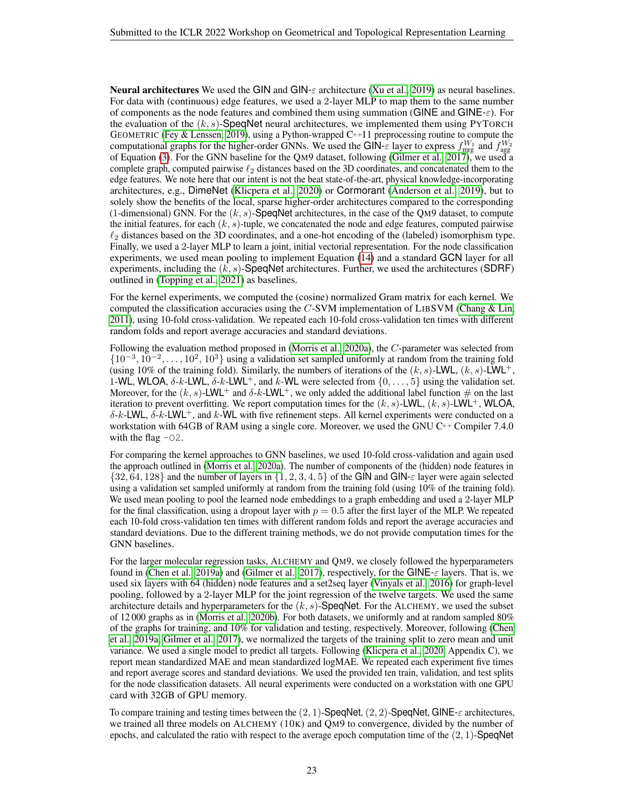**Neural architectures** We used the GIN and GIN- $\varepsilon$  architecture [\(Xu et al., 2019\)](#page-9-1) as neural baselines. For data with (continuous) edge features, we used a 2-layer MLP to map them to the same number of components as the node features and combined them using summation (GINE and GINE- $\varepsilon$ ). For the evaluation of the  $(k, s)$ -SpeqNet neural architectures, we implemented them using PYTORCH GEOMETRIC [\(Fey & Lenssen, 2019\)](#page-5-16), using a Python-wrapped  $C^{++}11$  preprocessing routine to compute the computational graphs for the higher-order GNNs. We used the GIN- $\epsilon$  layer to express  $f_{\text{mrg}}^{W_1}$  and  $f_{\text{agg}}^{W_2}$ of Equation [\(3\)](#page-2-0). For the GNN baseline for the QM9 dataset, following [\(Gilmer et al., 2017\)](#page-6-0), we used a complete graph, computed pairwise  $\ell_2$  distances based on the 3D coordinates, and concatenated them to the edge features. We note here that our intent is not the beat state-of-the-art, physical knowledge-incorporating architectures, e.g., DimeNet [\(Klicpera et al., 2020\)](#page-7-16) or Cormorant [\(Anderson et al., 2019\)](#page-4-18), but to solely show the benefits of the local, sparse higher-order architectures compared to the corresponding (1-dimensional) GNN. For the  $(k, s)$ -SpeqNet architectures, in the case of the QM9 dataset, to compute the initial features, for each  $(k, s)$ -tuple, we concatenated the node and edge features, computed pairwise  $\ell_2$  distances based on the 3D coordinates, and a one-hot encoding of the (labeled) isomorphism type. Finally, we used a 2-layer MLP to learn a joint, initial vectorial representation. For the node classification experiments, we used mean pooling to implement Equation [\(14\)](#page-21-1) and a standard GCN layer for all experiments, including the  $(k, s)$ -SpeqNet architectures. Further, we used the architectures (SDRF) outlined in [\(Topping et al., 2021\)](#page-9-16) as baselines.

For the kernel experiments, we computed the (cosine) normalized Gram matrix for each kernel. We computed the classification accuracies using the C-SVM implementation of LIBSVM (Chang  $&$  Lin, [2011\)](#page-5-17), using 10-fold cross-validation. We repeated each 10-fold cross-validation ten times with different random folds and report average accuracies and standard deviations.

Following the evaluation method proposed in [\(Morris et al., 2020a\)](#page-8-4), the C-parameter was selected from  $\{10^{-3}, 10^{-2}, \ldots, 10^{2}, 10^{3}\}\$ using a validation set sampled uniformly at random from the training fold (using 10% of the training fold). Similarly, the numbers of iterations of the  $(k, s)$ -LWL,  $(k, s)$ -LWL<sup>+</sup>, 1-WL, WLOA,  $\delta$ -k-LWL,  $\delta$ -k-LWL<sup>+</sup>, and k-WL were selected from  $\{0, \ldots, 5\}$  using the validation set. Moreover, for the  $(k, s)$ -LWL<sup>+</sup> and  $\delta$ -k-LWL<sup>+</sup>, we only added the additional label function # on the last iteration to prevent overfitting. We report computation times for the  $(k, s)$ -LWL,  $(k, s)$ -LWL<sup>+</sup>, WLOA,  $\delta$ -k-LWL,  $\delta$ -k-LWL<sup>+</sup>, and k-WL with five refinement steps. All kernel experiments were conducted on a workstation with 64GB of RAM using a single core. Moreover, we used the GNU C++ Compiler 7.4.0 with the flag  $-02$ .

For comparing the kernel approaches to GNN baselines, we used 10-fold cross-validation and again used the approach outlined in [\(Morris et al., 2020a\)](#page-8-4). The number of components of the (hidden) node features in  $\{32, 64, 128\}$  and the number of layers in  $\{1, 2, 3, 4, 5\}$  of the GIN and GIN- $\varepsilon$  layer were again selected using a validation set sampled uniformly at random from the training fold (using 10% of the training fold). We used mean pooling to pool the learned node embeddings to a graph embedding and used a 2-layer MLP for the final classification, using a dropout layer with  $p = 0.5$  after the first layer of the MLP. We repeated each 10-fold cross-validation ten times with different random folds and report the average accuracies and standard deviations. Due to the different training methods, we do not provide computation times for the GNN baselines.

For the larger molecular regression tasks, ALCHEMY and QM9, we closely followed the hyperparameters found in [\(Chen et al., 2019a\)](#page-5-15) and [\(Gilmer et al., 2017\)](#page-6-0), respectively, for the GINE- $\varepsilon$  layers. That is, we used six layers with 64 (hidden) node features and a set2seq layer [\(Vinyals et al., 2016\)](#page-9-17) for graph-level pooling, followed by a 2-layer MLP for the joint regression of the twelve targets. We used the same architecture details and hyperparameters for the  $(k, s)$ -SpeqNet. For the ALCHEMY, we used the subset of 12 000 graphs as in [\(Morris et al., 2020b\)](#page-8-2). For both datasets, we uniformly and at random sampled 80% of the graphs for training, and 10% for validation and testing, respectively. Moreover, following [\(Chen](#page-5-15) [et al., 2019a;](#page-5-15) [Gilmer et al., 2017\)](#page-6-0), we normalized the targets of the training split to zero mean and unit variance. We used a single model to predict all targets. Following [\(Klicpera et al., 2020,](#page-7-16) Appendix C), we report mean standardized MAE and mean standardized logMAE. We repeated each experiment five times and report average scores and standard deviations. We used the provided ten train, validation, and test splits for the node classification datasets. All neural experiments were conducted on a workstation with one GPU card with 32GB of GPU memory.

To compare training and testing times between the  $(2, 1)$ -SpeqNet,  $(2, 2)$ -SpeqNet, GINE- $\varepsilon$  architectures, we trained all three models on ALCHEMY (10K) and QM9 to convergence, divided by the number of epochs, and calculated the ratio with respect to the average epoch computation time of the  $(2, 1)$ -SpeqNet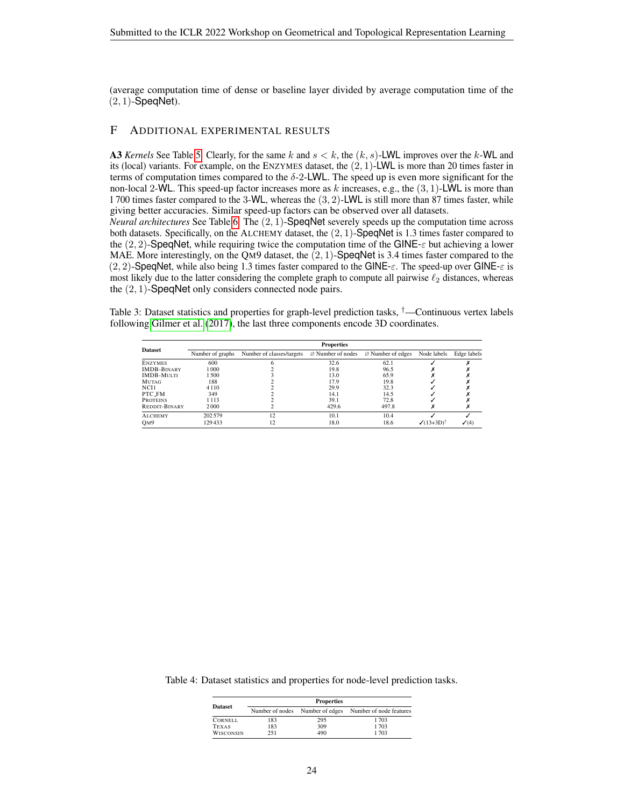(average computation time of dense or baseline layer divided by average computation time of the  $(2, 1)$ -SpeqNet).

# <span id="page-23-0"></span>F ADDITIONAL EXPERIMENTAL RESULTS

A3 *Kernels* See Table [5.](#page-24-0) Clearly, for the same k and  $s < k$ , the  $(k, s)$ -LWL improves over the k-WL and its (local) variants. For example, on the ENZYMES dataset, the  $(2, 1)$ -LWL is more than 20 times faster in terms of computation times compared to the  $\delta$ -2-LWL. The speed up is even more significant for the non-local 2-WL. This speed-up factor increases more as k increases, e.g., the  $(3, 1)$ -LWL is more than 1 700 times faster compared to the 3-WL, whereas the (3, 2)-LWL is still more than 87 times faster, while giving better accuracies. Similar speed-up factors can be observed over all datasets.

*Neural architectures* See Table [6.](#page-24-1) The (2, 1)-SpeqNet severely speeds up the computation time across both datasets. Specifically, on the ALCHEMY dataset, the (2, 1)-SpeqNet is 1.3 times faster compared to the  $(2, 2)$ -SpeqNet, while requiring twice the computation time of the GINE- $\varepsilon$  but achieving a lower MAE. More interestingly, on the QM9 dataset, the (2, 1)-SpeqNet is 3.4 times faster compared to the  $(2, 2)$ -SpeqNet, while also being 1.3 times faster compared to the GINE- $\varepsilon$ . The speed-up over GINE- $\varepsilon$  is most likely due to the latter considering the complete graph to compute all pairwise  $\ell_2$  distances, whereas the (2, 1)-SpeqNet only considers connected node pairs.

<span id="page-23-1"></span>Table 3: Dataset statistics and properties for graph-level prediction tasks, †—Continuous vertex labels following [Gilmer et al.](#page-6-0) [\(2017\)](#page-6-0), the last three components encode 3D coordinates.

|                    | <b>Properties</b> |                           |       |                                                             |                  |                  |  |  |
|--------------------|-------------------|---------------------------|-------|-------------------------------------------------------------|------------------|------------------|--|--|
| <b>Dataset</b>     | Number of graphs  | Number of classes/targets |       | $\varnothing$ Number of nodes $\varnothing$ Number of edges | Node labels      | Edge labels      |  |  |
| <b>ENZYMES</b>     | 600               |                           | 32.6  | 62.1                                                        |                  |                  |  |  |
| <b>IMDB-BINARY</b> | 000               |                           | 19.8  | 96.5                                                        |                  |                  |  |  |
| <b>IMDB-MULTI</b>  | 500               |                           | 13.0  | 65.9                                                        |                  |                  |  |  |
| <b>MUTAG</b>       | 188               |                           | 17.9  | 19.8                                                        |                  |                  |  |  |
| NCH <sub>1</sub>   | 4110              |                           | 29.9  | 32.3                                                        |                  |                  |  |  |
| PTC FM             | 349               |                           | 14.1  | 14.5                                                        |                  |                  |  |  |
| <b>PROTEINS</b>    | 1 1 1 3           |                           | 39.1  | 72.8                                                        |                  |                  |  |  |
| REDDIT-BINARY      | 2000              |                           | 429.6 | 497.8                                                       |                  |                  |  |  |
| <b>ALCHEMY</b>     | 202 579           | 12                        | 10.1  | 10.4                                                        |                  |                  |  |  |
| O <sub>M</sub> 9   | 129433            | 12                        | 18.0  | 18.6                                                        | $\sqrt{(13+3D)}$ | $\checkmark$ (4) |  |  |

<span id="page-23-2"></span>Table 4: Dataset statistics and properties for node-level prediction tasks.

|                  | <b>Properties</b> |                 |                         |  |  |  |  |
|------------------|-------------------|-----------------|-------------------------|--|--|--|--|
| <b>Dataset</b>   | Number of nodes   | Number of edges | Number of node features |  |  |  |  |
| <b>CORNELL</b>   | 183               | 295             | 1703                    |  |  |  |  |
| <b>TEXAS</b>     | 183               | 309             | 1703                    |  |  |  |  |
| <b>WISCONSIN</b> | 251               | 490             | 1703                    |  |  |  |  |